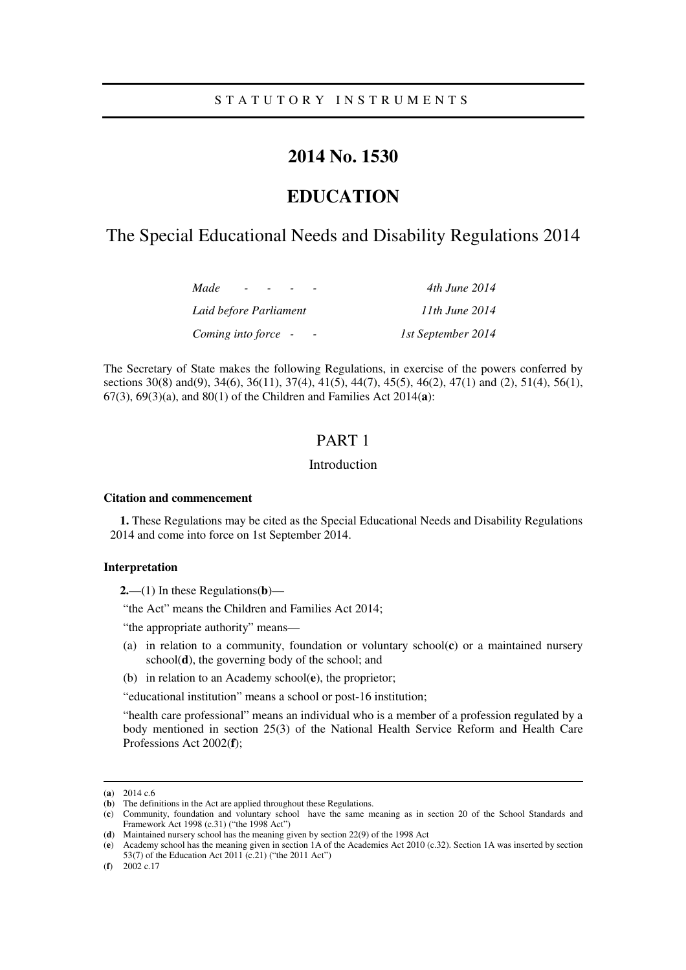# **2014 No. 1530**

# **EDUCATION**

# The Special Educational Needs and Disability Regulations 2014

| Made<br>$\overline{\phantom{0}}$ | $4th$ June $2014$  |
|----------------------------------|--------------------|
| Laid before Parliament           | $11th$ June $2014$ |
| Coming into force -              | 1st September 2014 |

The Secretary of State makes the following Regulations, in exercise of the powers conferred by sections 30(8) and(9), 34(6), 36(11), 37(4), 41(5), 44(7), 45(5), 46(2), 47(1) and (2), 51(4), 56(1), 67(3), 69(3)(a), and 80(1) of the Children and Families Act 2014(**a**):

# PART 1

## Introduction

#### **Citation and commencement**

**1.** These Regulations may be cited as the Special Educational Needs and Disability Regulations 2014 and come into force on 1st September 2014.

#### **Interpretation**

**2.**—(1) In these Regulations(**b**)—

"the Act" means the Children and Families Act 2014;

"the appropriate authority" means—

- (a) in relation to a community, foundation or voluntary school(**c**) or a maintained nursery school(**d**), the governing body of the school; and
- (b) in relation to an Academy school(**e**), the proprietor;

"educational institution" means a school or post-16 institution;

"health care professional" means an individual who is a member of a profession regulated by a body mentioned in section 25(3) of the National Health Service Reform and Health Care Professions Act 2002(**f**);

<sup>(</sup>**a**) 2014 c.6

<sup>(</sup>**b**) The definitions in the Act are applied throughout these Regulations.

<sup>(</sup>**c**) Community, foundation and voluntary school have the same meaning as in section 20 of the School Standards and Framework Act 1998 (c.31) ("the 1998 Act")

<sup>(</sup>**d**) Maintained nursery school has the meaning given by section 22(9) of the 1998 Act

<sup>(</sup>**e**) Academy school has the meaning given in section 1A of the Academies Act 2010 (c.32). Section 1A was inserted by section 53(7) of the Education Act 2011 (c.21) ("the 2011 Act")

<sup>(</sup>**f**) 2002 c.17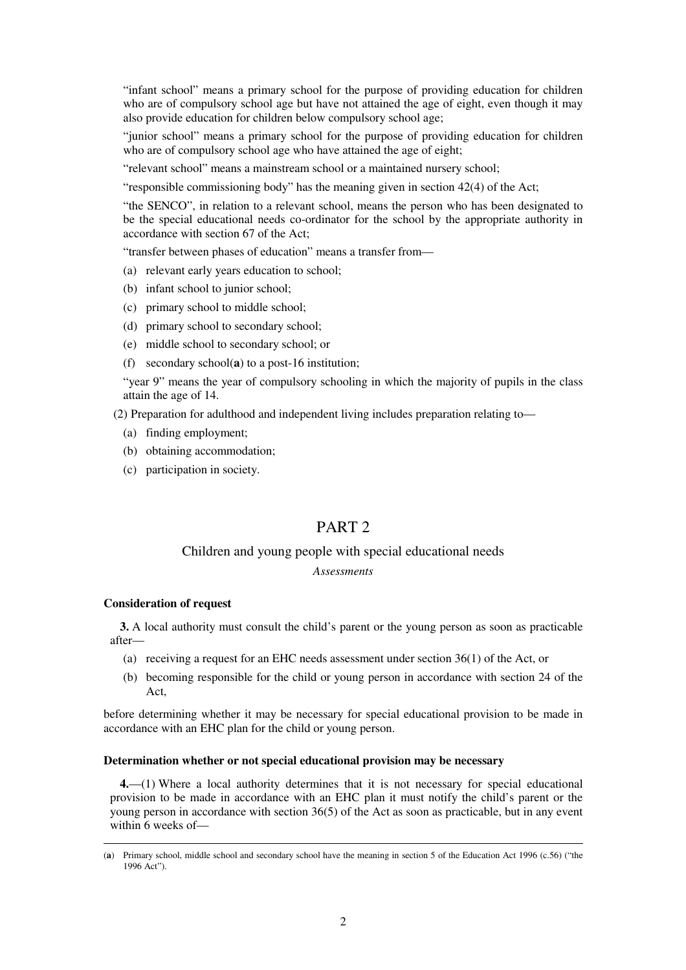"infant school" means a primary school for the purpose of providing education for children who are of compulsory school age but have not attained the age of eight, even though it may also provide education for children below compulsory school age;

"junior school" means a primary school for the purpose of providing education for children who are of compulsory school age who have attained the age of eight;

"relevant school" means a mainstream school or a maintained nursery school;

"responsible commissioning body" has the meaning given in section 42(4) of the Act;

"the SENCO", in relation to a relevant school, means the person who has been designated to be the special educational needs co-ordinator for the school by the appropriate authority in accordance with section 67 of the Act;

"transfer between phases of education" means a transfer from—

- (a) relevant early years education to school;
- (b) infant school to junior school;
- (c) primary school to middle school;
- (d) primary school to secondary school;
- (e) middle school to secondary school; or
- (f) secondary school(**a**) to a post-16 institution;

"year 9" means the year of compulsory schooling in which the majority of pupils in the class attain the age of 14.

(2) Preparation for adulthood and independent living includes preparation relating to—

- (a) finding employment;
- (b) obtaining accommodation;
- (c) participation in society.

# PART 2

## Children and young people with special educational needs

#### *Assessments*

#### **Consideration of request**

<u>.</u>

**3.** A local authority must consult the child's parent or the young person as soon as practicable after—

- (a) receiving a request for an EHC needs assessment under section 36(1) of the Act, or
- (b) becoming responsible for the child or young person in accordance with section 24 of the Act,

before determining whether it may be necessary for special educational provision to be made in accordance with an EHC plan for the child or young person.

#### **Determination whether or not special educational provision may be necessary**

**4.**—(1) Where a local authority determines that it is not necessary for special educational provision to be made in accordance with an EHC plan it must notify the child's parent or the young person in accordance with section 36(5) of the Act as soon as practicable, but in any event within 6 weeks of—

<sup>(</sup>**a**) Primary school, middle school and secondary school have the meaning in section 5 of the Education Act 1996 (c.56) ("the 1996 Act").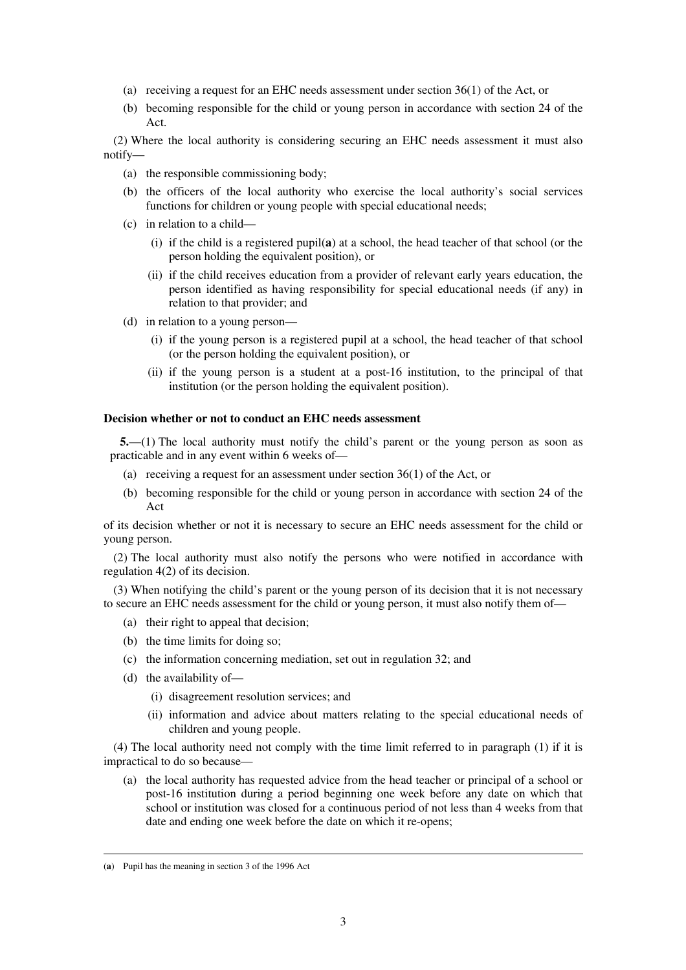- (a) receiving a request for an EHC needs assessment under section 36(1) of the Act, or
- (b) becoming responsible for the child or young person in accordance with section 24 of the Act.

(2) Where the local authority is considering securing an EHC needs assessment it must also notify—

- (a) the responsible commissioning body;
- (b) the officers of the local authority who exercise the local authority's social services functions for children or young people with special educational needs;
- (c) in relation to a child—
	- (i) if the child is a registered pupil(**a**) at a school, the head teacher of that school (or the person holding the equivalent position), or
	- (ii) if the child receives education from a provider of relevant early years education, the person identified as having responsibility for special educational needs (if any) in relation to that provider; and
- (d) in relation to a young person—
	- (i) if the young person is a registered pupil at a school, the head teacher of that school (or the person holding the equivalent position), or
	- (ii) if the young person is a student at a post-16 institution, to the principal of that institution (or the person holding the equivalent position).

#### **Decision whether or not to conduct an EHC needs assessment**

**5.**—(1) The local authority must notify the child's parent or the young person as soon as practicable and in any event within 6 weeks of—

- (a) receiving a request for an assessment under section 36(1) of the Act, or
- (b) becoming responsible for the child or young person in accordance with section 24 of the Act

of its decision whether or not it is necessary to secure an EHC needs assessment for the child or young person.

(2) The local authority must also notify the persons who were notified in accordance with regulation 4(2) of its decision.

(3) When notifying the child's parent or the young person of its decision that it is not necessary to secure an EHC needs assessment for the child or young person, it must also notify them of—

- (a) their right to appeal that decision;
- (b) the time limits for doing so;
- (c) the information concerning mediation, set out in regulation 32; and
- (d) the availability of—
	- (i) disagreement resolution services; and
	- (ii) information and advice about matters relating to the special educational needs of children and young people.

(4) The local authority need not comply with the time limit referred to in paragraph (1) if it is impractical to do so because—

(a) the local authority has requested advice from the head teacher or principal of a school or post-16 institution during a period beginning one week before any date on which that school or institution was closed for a continuous period of not less than 4 weeks from that date and ending one week before the date on which it re-opens;

<sup>(</sup>**a**) Pupil has the meaning in section 3 of the 1996 Act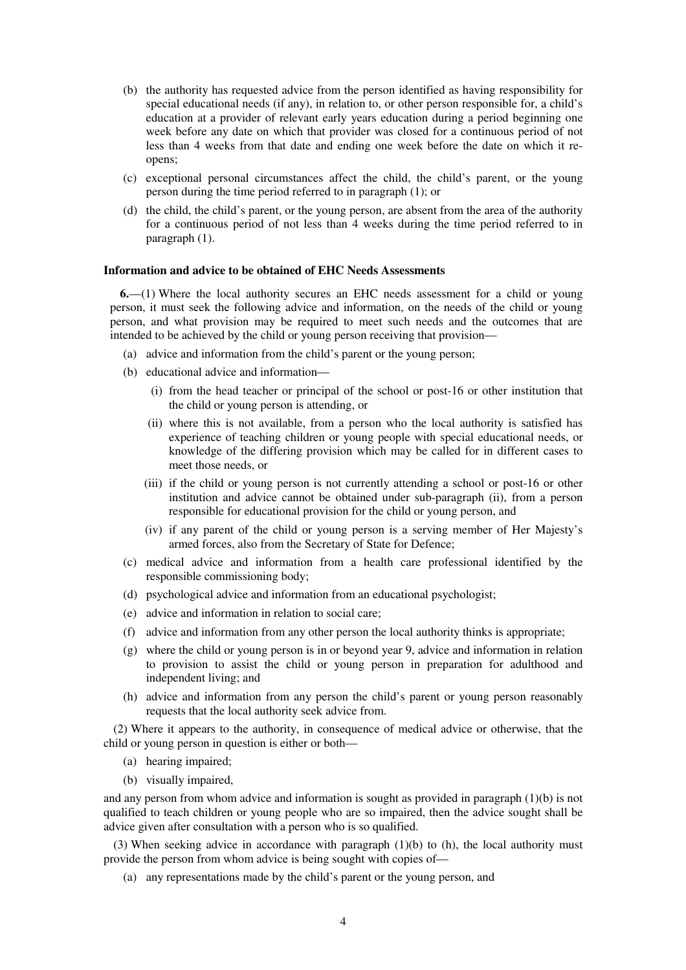- (b) the authority has requested advice from the person identified as having responsibility for special educational needs (if any), in relation to, or other person responsible for, a child's education at a provider of relevant early years education during a period beginning one week before any date on which that provider was closed for a continuous period of not less than 4 weeks from that date and ending one week before the date on which it reopens;
- (c) exceptional personal circumstances affect the child, the child's parent, or the young person during the time period referred to in paragraph (1); or
- (d) the child, the child's parent, or the young person, are absent from the area of the authority for a continuous period of not less than 4 weeks during the time period referred to in paragraph (1).

### **Information and advice to be obtained of EHC Needs Assessments**

**6.**—(1) Where the local authority secures an EHC needs assessment for a child or young person, it must seek the following advice and information, on the needs of the child or young person, and what provision may be required to meet such needs and the outcomes that are intended to be achieved by the child or young person receiving that provision—

- (a) advice and information from the child's parent or the young person;
- (b) educational advice and information—
	- (i) from the head teacher or principal of the school or post-16 or other institution that the child or young person is attending, or
	- (ii) where this is not available, from a person who the local authority is satisfied has experience of teaching children or young people with special educational needs, or knowledge of the differing provision which may be called for in different cases to meet those needs, or
	- (iii) if the child or young person is not currently attending a school or post-16 or other institution and advice cannot be obtained under sub-paragraph (ii), from a person responsible for educational provision for the child or young person, and
	- (iv) if any parent of the child or young person is a serving member of Her Majesty's armed forces, also from the Secretary of State for Defence;
- (c) medical advice and information from a health care professional identified by the responsible commissioning body;
- (d) psychological advice and information from an educational psychologist;
- (e) advice and information in relation to social care;
- (f) advice and information from any other person the local authority thinks is appropriate;
- (g) where the child or young person is in or beyond year 9, advice and information in relation to provision to assist the child or young person in preparation for adulthood and independent living; and
- (h) advice and information from any person the child's parent or young person reasonably requests that the local authority seek advice from.

(2) Where it appears to the authority, in consequence of medical advice or otherwise, that the child or young person in question is either or both—

- (a) hearing impaired;
- (b) visually impaired,

and any person from whom advice and information is sought as provided in paragraph  $(1)(b)$  is not qualified to teach children or young people who are so impaired, then the advice sought shall be advice given after consultation with a person who is so qualified.

(3) When seeking advice in accordance with paragraph  $(1)(b)$  to  $(h)$ , the local authority must provide the person from whom advice is being sought with copies of—

(a) any representations made by the child's parent or the young person, and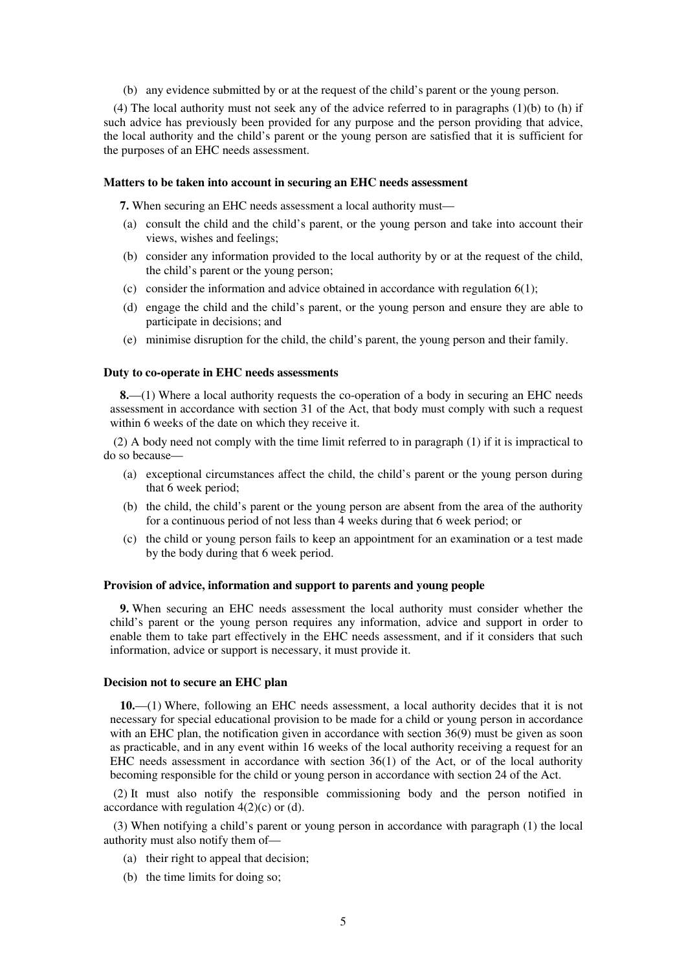(b) any evidence submitted by or at the request of the child's parent or the young person.

(4) The local authority must not seek any of the advice referred to in paragraphs (1)(b) to (h) if such advice has previously been provided for any purpose and the person providing that advice, the local authority and the child's parent or the young person are satisfied that it is sufficient for the purposes of an EHC needs assessment.

### **Matters to be taken into account in securing an EHC needs assessment**

**7.** When securing an EHC needs assessment a local authority must—

- (a) consult the child and the child's parent, or the young person and take into account their views, wishes and feelings;
- (b) consider any information provided to the local authority by or at the request of the child, the child's parent or the young person;
- (c) consider the information and advice obtained in accordance with regulation 6(1);
- (d) engage the child and the child's parent, or the young person and ensure they are able to participate in decisions; and
- (e) minimise disruption for the child, the child's parent, the young person and their family.

#### **Duty to co-operate in EHC needs assessments**

**8.**—(1) Where a local authority requests the co-operation of a body in securing an EHC needs assessment in accordance with section 31 of the Act, that body must comply with such a request within 6 weeks of the date on which they receive it.

(2) A body need not comply with the time limit referred to in paragraph (1) if it is impractical to do so because—

- (a) exceptional circumstances affect the child, the child's parent or the young person during that 6 week period;
- (b) the child, the child's parent or the young person are absent from the area of the authority for a continuous period of not less than 4 weeks during that 6 week period; or
- (c) the child or young person fails to keep an appointment for an examination or a test made by the body during that 6 week period.

#### **Provision of advice, information and support to parents and young people**

**9.** When securing an EHC needs assessment the local authority must consider whether the child's parent or the young person requires any information, advice and support in order to enable them to take part effectively in the EHC needs assessment, and if it considers that such information, advice or support is necessary, it must provide it.

#### **Decision not to secure an EHC plan**

**10.**—(1) Where, following an EHC needs assessment, a local authority decides that it is not necessary for special educational provision to be made for a child or young person in accordance with an EHC plan, the notification given in accordance with section 36(9) must be given as soon as practicable, and in any event within 16 weeks of the local authority receiving a request for an EHC needs assessment in accordance with section  $36(1)$  of the Act, or of the local authority becoming responsible for the child or young person in accordance with section 24 of the Act.

(2) It must also notify the responsible commissioning body and the person notified in accordance with regulation  $4(2)(c)$  or (d).

(3) When notifying a child's parent or young person in accordance with paragraph (1) the local authority must also notify them of—

- (a) their right to appeal that decision;
- (b) the time limits for doing so;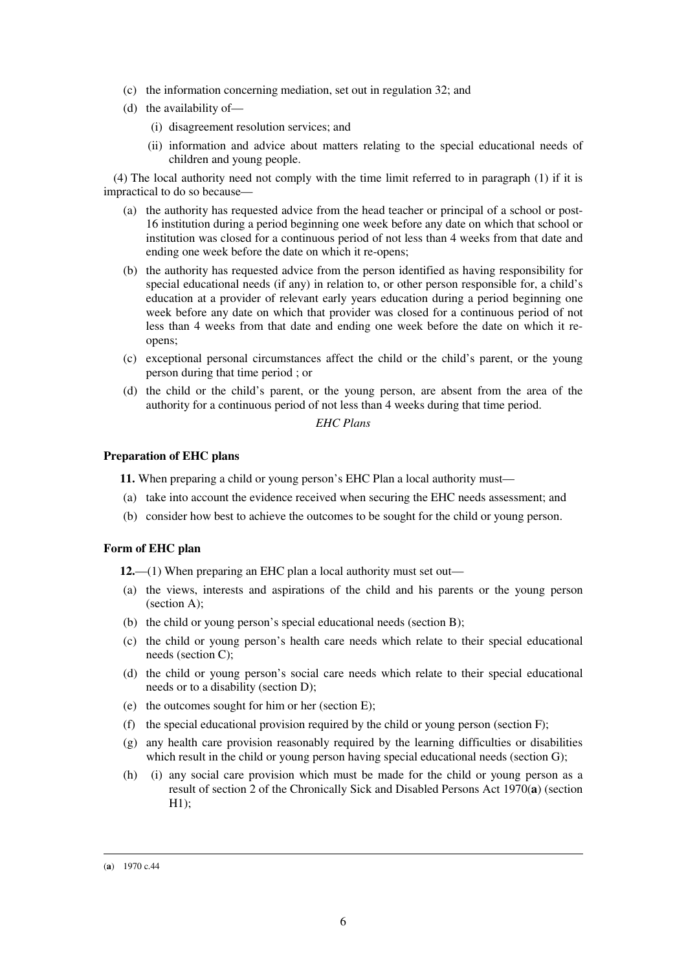- (c) the information concerning mediation, set out in regulation 32; and
- (d) the availability of—
	- (i) disagreement resolution services; and
	- (ii) information and advice about matters relating to the special educational needs of children and young people.

(4) The local authority need not comply with the time limit referred to in paragraph (1) if it is impractical to do so because—

- (a) the authority has requested advice from the head teacher or principal of a school or post-16 institution during a period beginning one week before any date on which that school or institution was closed for a continuous period of not less than 4 weeks from that date and ending one week before the date on which it re-opens;
- (b) the authority has requested advice from the person identified as having responsibility for special educational needs (if any) in relation to, or other person responsible for, a child's education at a provider of relevant early years education during a period beginning one week before any date on which that provider was closed for a continuous period of not less than 4 weeks from that date and ending one week before the date on which it reopens;
- (c) exceptional personal circumstances affect the child or the child's parent, or the young person during that time period ; or
- (d) the child or the child's parent, or the young person, are absent from the area of the authority for a continuous period of not less than 4 weeks during that time period.

### *EHC Plans*

#### **Preparation of EHC plans**

**11.** When preparing a child or young person's EHC Plan a local authority must—

- (a) take into account the evidence received when securing the EHC needs assessment; and
- (b) consider how best to achieve the outcomes to be sought for the child or young person.

### **Form of EHC plan**

**12.**—(1) When preparing an EHC plan a local authority must set out—

- (a) the views, interests and aspirations of the child and his parents or the young person (section A);
- (b) the child or young person's special educational needs (section B);
- (c) the child or young person's health care needs which relate to their special educational needs (section C);
- (d) the child or young person's social care needs which relate to their special educational needs or to a disability (section D);
- (e) the outcomes sought for him or her (section E);
- (f) the special educational provision required by the child or young person (section F);
- (g) any health care provision reasonably required by the learning difficulties or disabilities which result in the child or young person having special educational needs (section G);
- (h) (i) any social care provision which must be made for the child or young person as a result of section 2 of the Chronically Sick and Disabled Persons Act 1970(**a**) (section  $H1$ :

<sup>(</sup>**a**) 1970 c.44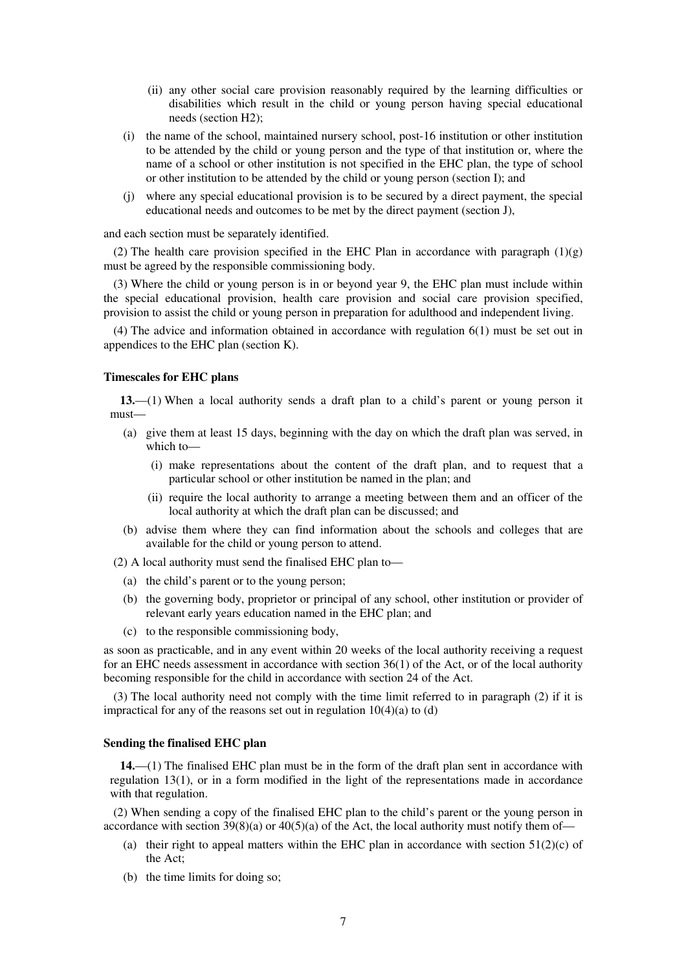- (ii) any other social care provision reasonably required by the learning difficulties or disabilities which result in the child or young person having special educational needs (section H2);
- (i) the name of the school, maintained nursery school, post-16 institution or other institution to be attended by the child or young person and the type of that institution or, where the name of a school or other institution is not specified in the EHC plan, the type of school or other institution to be attended by the child or young person (section I); and
- (j) where any special educational provision is to be secured by a direct payment, the special educational needs and outcomes to be met by the direct payment (section J),

and each section must be separately identified.

(2) The health care provision specified in the EHC Plan in accordance with paragraph  $(1)(g)$ must be agreed by the responsible commissioning body.

(3) Where the child or young person is in or beyond year 9, the EHC plan must include within the special educational provision, health care provision and social care provision specified, provision to assist the child or young person in preparation for adulthood and independent living.

(4) The advice and information obtained in accordance with regulation 6(1) must be set out in appendices to the EHC plan (section K).

#### **Timescales for EHC plans**

**13.**—(1) When a local authority sends a draft plan to a child's parent or young person it must—

- (a) give them at least 15 days, beginning with the day on which the draft plan was served, in which to—
	- (i) make representations about the content of the draft plan, and to request that a particular school or other institution be named in the plan; and
	- (ii) require the local authority to arrange a meeting between them and an officer of the local authority at which the draft plan can be discussed; and
- (b) advise them where they can find information about the schools and colleges that are available for the child or young person to attend.
- (2) A local authority must send the finalised EHC plan to—
	- (a) the child's parent or to the young person;
	- (b) the governing body, proprietor or principal of any school, other institution or provider of relevant early years education named in the EHC plan; and
	- (c) to the responsible commissioning body,

as soon as practicable, and in any event within 20 weeks of the local authority receiving a request for an EHC needs assessment in accordance with section 36(1) of the Act, or of the local authority becoming responsible for the child in accordance with section 24 of the Act.

(3) The local authority need not comply with the time limit referred to in paragraph (2) if it is impractical for any of the reasons set out in regulation  $10(4)(a)$  to  $(d)$ 

#### **Sending the finalised EHC plan**

**14.**—(1) The finalised EHC plan must be in the form of the draft plan sent in accordance with regulation 13(1), or in a form modified in the light of the representations made in accordance with that regulation.

(2) When sending a copy of the finalised EHC plan to the child's parent or the young person in accordance with section  $39(8)(a)$  or  $40(5)(a)$  of the Act, the local authority must notify them of-

- (a) their right to appeal matters within the EHC plan in accordance with section  $51(2)(c)$  of the Act;
- (b) the time limits for doing so;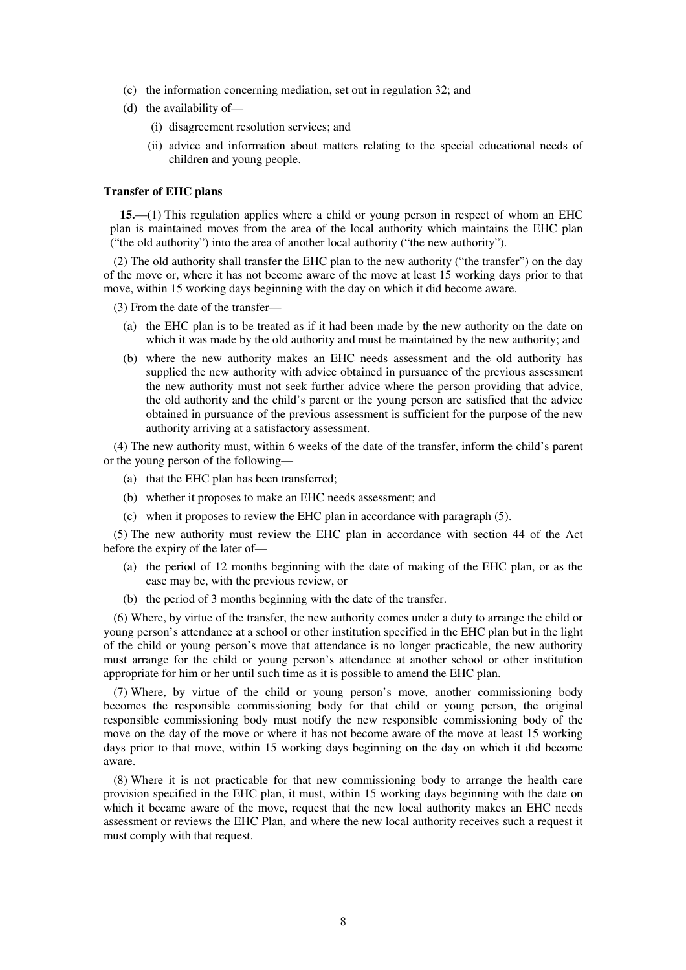- (c) the information concerning mediation, set out in regulation 32; and
- (d) the availability of—
	- (i) disagreement resolution services; and
	- (ii) advice and information about matters relating to the special educational needs of children and young people.

#### **Transfer of EHC plans**

**15.**—(1) This regulation applies where a child or young person in respect of whom an EHC plan is maintained moves from the area of the local authority which maintains the EHC plan ("the old authority") into the area of another local authority ("the new authority").

(2) The old authority shall transfer the EHC plan to the new authority ("the transfer") on the day of the move or, where it has not become aware of the move at least 15 working days prior to that move, within 15 working days beginning with the day on which it did become aware.

(3) From the date of the transfer—

- (a) the EHC plan is to be treated as if it had been made by the new authority on the date on which it was made by the old authority and must be maintained by the new authority; and
- (b) where the new authority makes an EHC needs assessment and the old authority has supplied the new authority with advice obtained in pursuance of the previous assessment the new authority must not seek further advice where the person providing that advice, the old authority and the child's parent or the young person are satisfied that the advice obtained in pursuance of the previous assessment is sufficient for the purpose of the new authority arriving at a satisfactory assessment.

(4) The new authority must, within 6 weeks of the date of the transfer, inform the child's parent or the young person of the following—

- (a) that the EHC plan has been transferred;
- (b) whether it proposes to make an EHC needs assessment; and
- (c) when it proposes to review the EHC plan in accordance with paragraph (5).

(5) The new authority must review the EHC plan in accordance with section 44 of the Act before the expiry of the later of—

- (a) the period of 12 months beginning with the date of making of the EHC plan, or as the case may be, with the previous review, or
- (b) the period of 3 months beginning with the date of the transfer.

(6) Where, by virtue of the transfer, the new authority comes under a duty to arrange the child or young person's attendance at a school or other institution specified in the EHC plan but in the light of the child or young person's move that attendance is no longer practicable, the new authority must arrange for the child or young person's attendance at another school or other institution appropriate for him or her until such time as it is possible to amend the EHC plan.

(7) Where, by virtue of the child or young person's move, another commissioning body becomes the responsible commissioning body for that child or young person, the original responsible commissioning body must notify the new responsible commissioning body of the move on the day of the move or where it has not become aware of the move at least 15 working days prior to that move, within 15 working days beginning on the day on which it did become aware.

(8) Where it is not practicable for that new commissioning body to arrange the health care provision specified in the EHC plan, it must, within 15 working days beginning with the date on which it became aware of the move, request that the new local authority makes an EHC needs assessment or reviews the EHC Plan, and where the new local authority receives such a request it must comply with that request.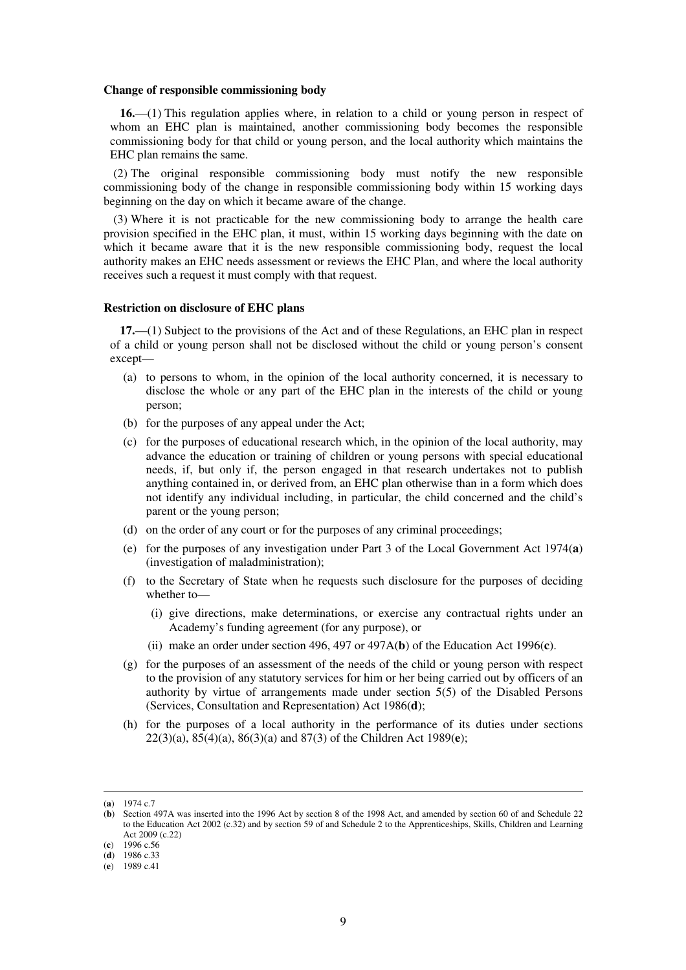#### **Change of responsible commissioning body**

**16.**—(1) This regulation applies where, in relation to a child or young person in respect of whom an EHC plan is maintained, another commissioning body becomes the responsible commissioning body for that child or young person, and the local authority which maintains the EHC plan remains the same.

(2) The original responsible commissioning body must notify the new responsible commissioning body of the change in responsible commissioning body within 15 working days beginning on the day on which it became aware of the change.

(3) Where it is not practicable for the new commissioning body to arrange the health care provision specified in the EHC plan, it must, within 15 working days beginning with the date on which it became aware that it is the new responsible commissioning body, request the local authority makes an EHC needs assessment or reviews the EHC Plan, and where the local authority receives such a request it must comply with that request.

#### **Restriction on disclosure of EHC plans**

**17.**—(1) Subject to the provisions of the Act and of these Regulations, an EHC plan in respect of a child or young person shall not be disclosed without the child or young person's consent except—

- (a) to persons to whom, in the opinion of the local authority concerned, it is necessary to disclose the whole or any part of the EHC plan in the interests of the child or young person;
- (b) for the purposes of any appeal under the Act;
- (c) for the purposes of educational research which, in the opinion of the local authority, may advance the education or training of children or young persons with special educational needs, if, but only if, the person engaged in that research undertakes not to publish anything contained in, or derived from, an EHC plan otherwise than in a form which does not identify any individual including, in particular, the child concerned and the child's parent or the young person;
- (d) on the order of any court or for the purposes of any criminal proceedings;
- (e) for the purposes of any investigation under Part 3 of the Local Government Act 1974(**a**) (investigation of maladministration);
- (f) to the Secretary of State when he requests such disclosure for the purposes of deciding whether to—
	- (i) give directions, make determinations, or exercise any contractual rights under an Academy's funding agreement (for any purpose), or
	- (ii) make an order under section 496, 497 or 497A(**b**) of the Education Act 1996(**c**).
- (g) for the purposes of an assessment of the needs of the child or young person with respect to the provision of any statutory services for him or her being carried out by officers of an authority by virtue of arrangements made under section 5(5) of the Disabled Persons (Services, Consultation and Representation) Act 1986(**d**);
- (h) for the purposes of a local authority in the performance of its duties under sections 22(3)(a), 85(4)(a), 86(3)(a) and 87(3) of the Children Act 1989(**e**);

<sup>(</sup>**a**) 1974 c.7

<sup>(</sup>**b**) Section 497A was inserted into the 1996 Act by section 8 of the 1998 Act, and amended by section 60 of and Schedule 22 to the Education Act 2002 (c.32) and by section 59 of and Schedule 2 to the Apprenticeships, Skills, Children and Learning Act 2009 (c.22)

<sup>(</sup>**c**) 1996 c.56

<sup>(</sup>**d**) 1986 c.33 (**e**) 1989 c.41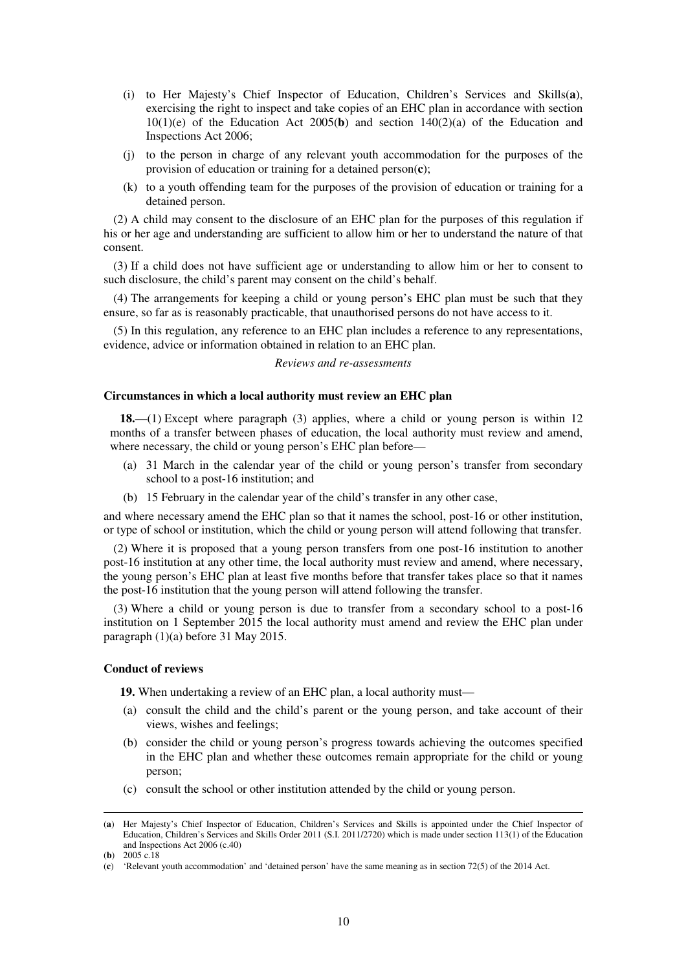- (i) to Her Majesty's Chief Inspector of Education, Children's Services and Skills(**a**), exercising the right to inspect and take copies of an EHC plan in accordance with section 10(1)(e) of the Education Act 2005(**b**) and section 140(2)(a) of the Education and Inspections Act 2006;
- (j) to the person in charge of any relevant youth accommodation for the purposes of the provision of education or training for a detained person(**c**);
- (k) to a youth offending team for the purposes of the provision of education or training for a detained person.

(2) A child may consent to the disclosure of an EHC plan for the purposes of this regulation if his or her age and understanding are sufficient to allow him or her to understand the nature of that consent.

(3) If a child does not have sufficient age or understanding to allow him or her to consent to such disclosure, the child's parent may consent on the child's behalf.

(4) The arrangements for keeping a child or young person's EHC plan must be such that they ensure, so far as is reasonably practicable, that unauthorised persons do not have access to it.

(5) In this regulation, any reference to an EHC plan includes a reference to any representations, evidence, advice or information obtained in relation to an EHC plan.

#### *Reviews and re-assessments*

#### **Circumstances in which a local authority must review an EHC plan**

**18.**—(1) Except where paragraph (3) applies, where a child or young person is within 12 months of a transfer between phases of education, the local authority must review and amend, where necessary, the child or young person's EHC plan before—

- (a) 31 March in the calendar year of the child or young person's transfer from secondary school to a post-16 institution; and
- (b) 15 February in the calendar year of the child's transfer in any other case,

and where necessary amend the EHC plan so that it names the school, post-16 or other institution, or type of school or institution, which the child or young person will attend following that transfer.

(2) Where it is proposed that a young person transfers from one post-16 institution to another post-16 institution at any other time, the local authority must review and amend, where necessary, the young person's EHC plan at least five months before that transfer takes place so that it names the post-16 institution that the young person will attend following the transfer.

(3) Where a child or young person is due to transfer from a secondary school to a post-16 institution on 1 September 2015 the local authority must amend and review the EHC plan under paragraph (1)(a) before 31 May 2015.

#### **Conduct of reviews**

**19.** When undertaking a review of an EHC plan, a local authority must—

- (a) consult the child and the child's parent or the young person, and take account of their views, wishes and feelings;
- (b) consider the child or young person's progress towards achieving the outcomes specified in the EHC plan and whether these outcomes remain appropriate for the child or young person;
- (c) consult the school or other institution attended by the child or young person.

<sup>(</sup>**a**) Her Majesty's Chief Inspector of Education, Children's Services and Skills is appointed under the Chief Inspector of Education, Children's Services and Skills Order 2011 (S.I. 2011/2720) which is made under section 113(1) of the Education and Inspections Act 2006 (c.40)

<sup>(</sup>**b**) 2005 c.18

<sup>(</sup>**c**) 'Relevant youth accommodation' and 'detained person' have the same meaning as in section 72(5) of the 2014 Act.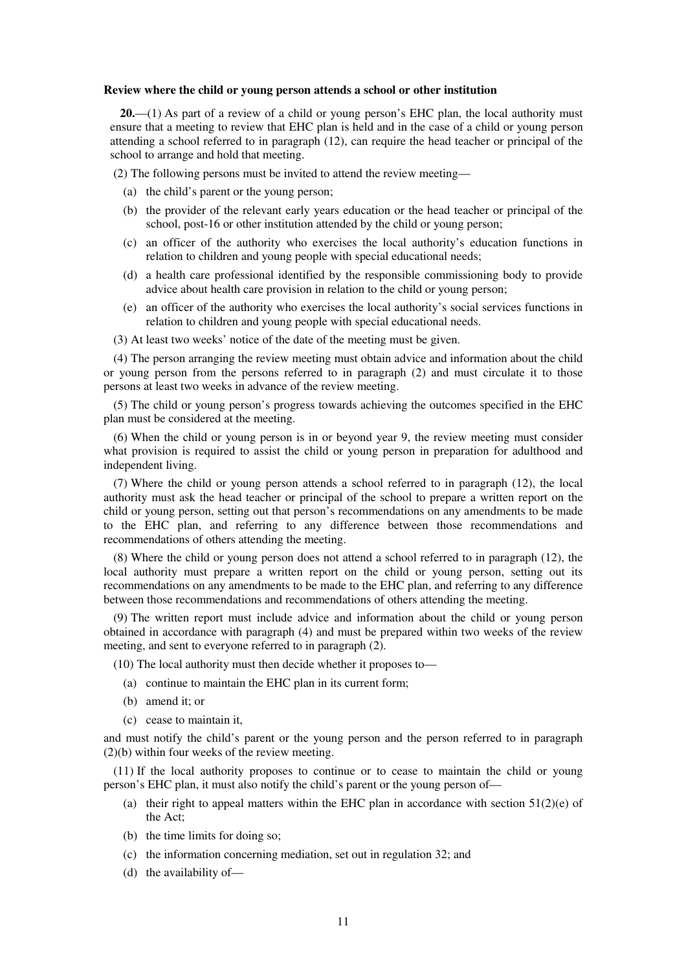#### **Review where the child or young person attends a school or other institution**

**20.**—(1) As part of a review of a child or young person's EHC plan, the local authority must ensure that a meeting to review that EHC plan is held and in the case of a child or young person attending a school referred to in paragraph (12), can require the head teacher or principal of the school to arrange and hold that meeting.

(2) The following persons must be invited to attend the review meeting—

- (a) the child's parent or the young person;
- (b) the provider of the relevant early years education or the head teacher or principal of the school, post-16 or other institution attended by the child or young person;
- (c) an officer of the authority who exercises the local authority's education functions in relation to children and young people with special educational needs;
- (d) a health care professional identified by the responsible commissioning body to provide advice about health care provision in relation to the child or young person;
- (e) an officer of the authority who exercises the local authority's social services functions in relation to children and young people with special educational needs.
- (3) At least two weeks' notice of the date of the meeting must be given.

(4) The person arranging the review meeting must obtain advice and information about the child or young person from the persons referred to in paragraph (2) and must circulate it to those persons at least two weeks in advance of the review meeting.

(5) The child or young person's progress towards achieving the outcomes specified in the EHC plan must be considered at the meeting.

(6) When the child or young person is in or beyond year 9, the review meeting must consider what provision is required to assist the child or young person in preparation for adulthood and independent living.

(7) Where the child or young person attends a school referred to in paragraph (12), the local authority must ask the head teacher or principal of the school to prepare a written report on the child or young person, setting out that person's recommendations on any amendments to be made to the EHC plan, and referring to any difference between those recommendations and recommendations of others attending the meeting.

(8) Where the child or young person does not attend a school referred to in paragraph (12), the local authority must prepare a written report on the child or young person, setting out its recommendations on any amendments to be made to the EHC plan, and referring to any difference between those recommendations and recommendations of others attending the meeting.

(9) The written report must include advice and information about the child or young person obtained in accordance with paragraph (4) and must be prepared within two weeks of the review meeting, and sent to everyone referred to in paragraph (2).

(10) The local authority must then decide whether it proposes to—

- (a) continue to maintain the EHC plan in its current form;
- (b) amend it; or
- (c) cease to maintain it,

and must notify the child's parent or the young person and the person referred to in paragraph (2)(b) within four weeks of the review meeting.

(11) If the local authority proposes to continue or to cease to maintain the child or young person's EHC plan, it must also notify the child's parent or the young person of—

- (a) their right to appeal matters within the EHC plan in accordance with section  $51(2)(e)$  of the Act;
- (b) the time limits for doing so;
- (c) the information concerning mediation, set out in regulation 32; and
- (d) the availability of—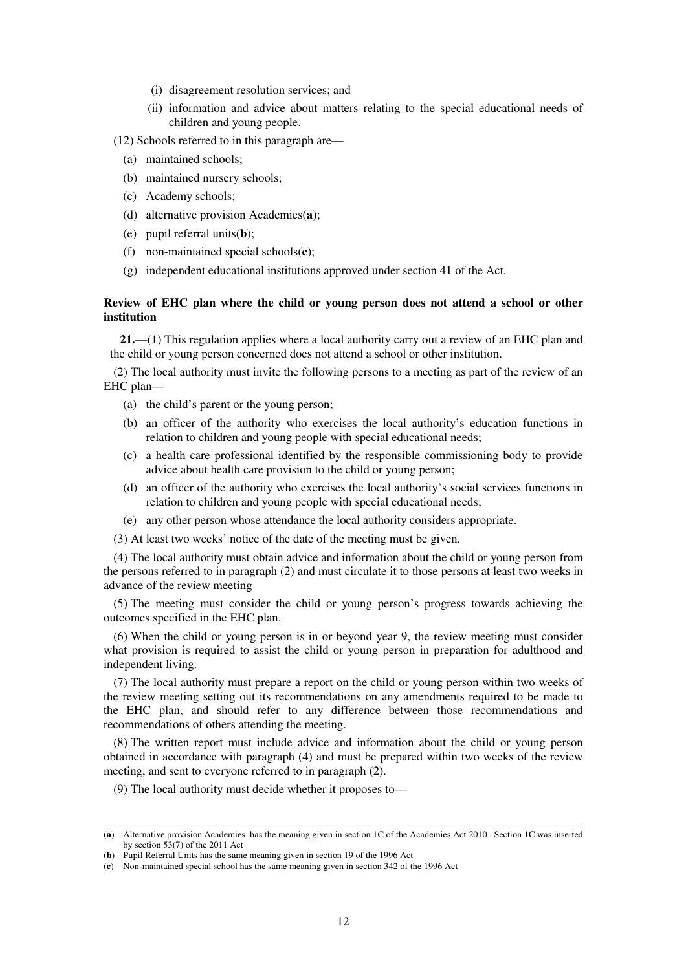- (i) disagreement resolution services; and
- (ii) information and advice about matters relating to the special educational needs of children and young people.
- (12) Schools referred to in this paragraph are—
	- (a) maintained schools;
	- (b) maintained nursery schools;
	- (c) Academy schools;
	- (d) alternative provision Academies(**a**);
	- (e) pupil referral units(**b**);
	- (f) non-maintained special schools(**c**);
	- (g) independent educational institutions approved under section 41 of the Act.

### **Review of EHC plan where the child or young person does not attend a school or other institution**

**21.**—(1) This regulation applies where a local authority carry out a review of an EHC plan and the child or young person concerned does not attend a school or other institution.

(2) The local authority must invite the following persons to a meeting as part of the review of an EHC plan—

- (a) the child's parent or the young person;
- (b) an officer of the authority who exercises the local authority's education functions in relation to children and young people with special educational needs;
- (c) a health care professional identified by the responsible commissioning body to provide advice about health care provision to the child or young person;
- (d) an officer of the authority who exercises the local authority's social services functions in relation to children and young people with special educational needs;
- (e) any other person whose attendance the local authority considers appropriate.

(3) At least two weeks' notice of the date of the meeting must be given.

(4) The local authority must obtain advice and information about the child or young person from the persons referred to in paragraph (2) and must circulate it to those persons at least two weeks in advance of the review meeting

(5) The meeting must consider the child or young person's progress towards achieving the outcomes specified in the EHC plan.

(6) When the child or young person is in or beyond year 9, the review meeting must consider what provision is required to assist the child or young person in preparation for adulthood and independent living.

(7) The local authority must prepare a report on the child or young person within two weeks of the review meeting setting out its recommendations on any amendments required to be made to the EHC plan, and should refer to any difference between those recommendations and recommendations of others attending the meeting.

(8) The written report must include advice and information about the child or young person obtained in accordance with paragraph (4) and must be prepared within two weeks of the review meeting, and sent to everyone referred to in paragraph (2).

(9) The local authority must decide whether it proposes to—

<sup>(</sup>**a**) Alternative provision Academies has the meaning given in section 1C of the Academies Act 2010 . Section 1C was inserted by section 53(7) of the 2011 Act

<sup>(</sup>**b**) Pupil Referral Units has the same meaning given in section 19 of the 1996 Act

<sup>(</sup>**c**) Non-maintained special school has the same meaning given in section 342 of the 1996 Act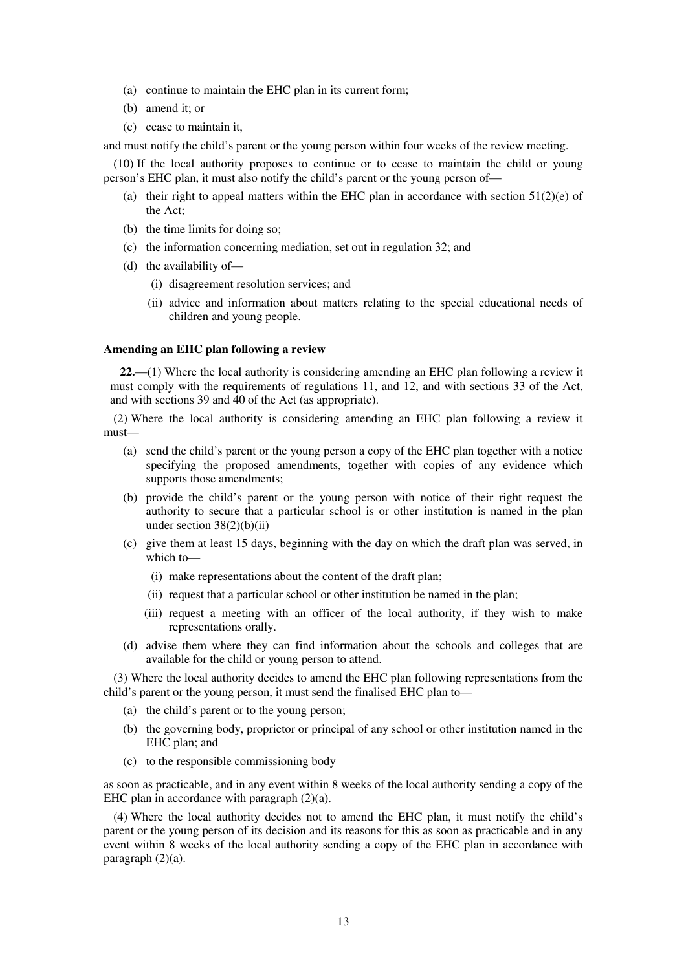- (a) continue to maintain the EHC plan in its current form;
- (b) amend it; or
- (c) cease to maintain it,

and must notify the child's parent or the young person within four weeks of the review meeting.

(10) If the local authority proposes to continue or to cease to maintain the child or young person's EHC plan, it must also notify the child's parent or the young person of—

- (a) their right to appeal matters within the EHC plan in accordance with section  $51(2)(e)$  of the Act;
- (b) the time limits for doing so;
- (c) the information concerning mediation, set out in regulation 32; and
- (d) the availability of—
	- (i) disagreement resolution services; and
	- (ii) advice and information about matters relating to the special educational needs of children and young people.

#### **Amending an EHC plan following a review**

**22.**—(1) Where the local authority is considering amending an EHC plan following a review it must comply with the requirements of regulations 11, and 12, and with sections 33 of the Act, and with sections 39 and 40 of the Act (as appropriate).

(2) Where the local authority is considering amending an EHC plan following a review it must—

- (a) send the child's parent or the young person a copy of the EHC plan together with a notice specifying the proposed amendments, together with copies of any evidence which supports those amendments;
- (b) provide the child's parent or the young person with notice of their right request the authority to secure that a particular school is or other institution is named in the plan under section  $38(2)(b)(ii)$
- (c) give them at least 15 days, beginning with the day on which the draft plan was served, in which to—
	- (i) make representations about the content of the draft plan;
	- (ii) request that a particular school or other institution be named in the plan;
	- (iii) request a meeting with an officer of the local authority, if they wish to make representations orally.
- (d) advise them where they can find information about the schools and colleges that are available for the child or young person to attend.

(3) Where the local authority decides to amend the EHC plan following representations from the child's parent or the young person, it must send the finalised EHC plan to—

- (a) the child's parent or to the young person;
- (b) the governing body, proprietor or principal of any school or other institution named in the EHC plan; and
- (c) to the responsible commissioning body

as soon as practicable, and in any event within 8 weeks of the local authority sending a copy of the EHC plan in accordance with paragraph (2)(a).

(4) Where the local authority decides not to amend the EHC plan, it must notify the child's parent or the young person of its decision and its reasons for this as soon as practicable and in any event within 8 weeks of the local authority sending a copy of the EHC plan in accordance with paragraph (2)(a).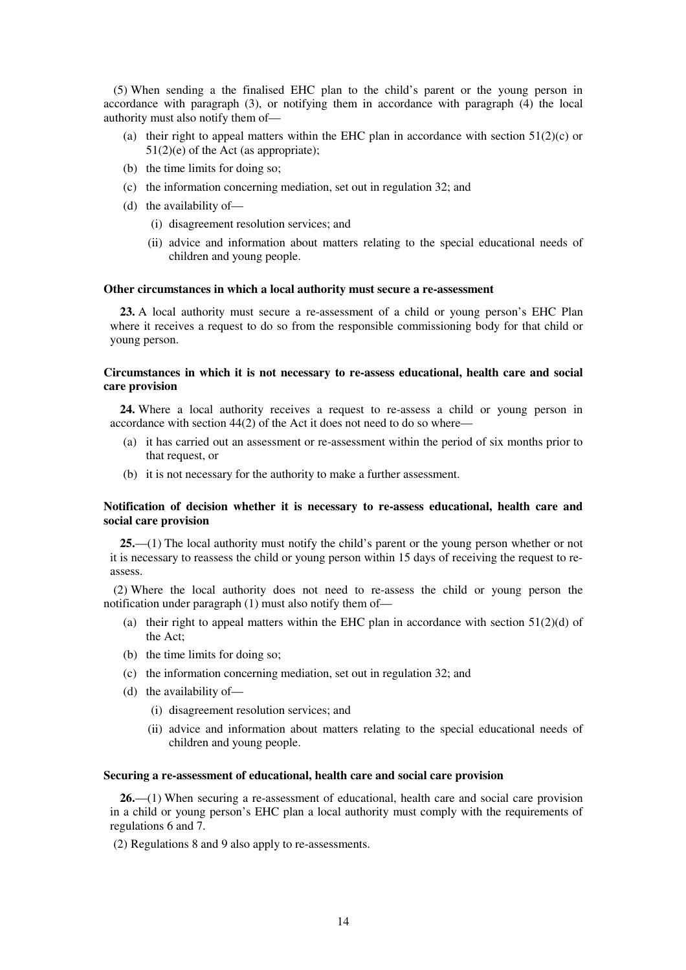(5) When sending a the finalised EHC plan to the child's parent or the young person in accordance with paragraph (3), or notifying them in accordance with paragraph (4) the local authority must also notify them of—

- (a) their right to appeal matters within the EHC plan in accordance with section  $51(2)(c)$  or 51(2)(e) of the Act (as appropriate);
- (b) the time limits for doing so;
- (c) the information concerning mediation, set out in regulation 32; and
- (d) the availability of—
	- (i) disagreement resolution services; and
	- (ii) advice and information about matters relating to the special educational needs of children and young people.

#### **Other circumstances in which a local authority must secure a re-assessment**

**23.** A local authority must secure a re-assessment of a child or young person's EHC Plan where it receives a request to do so from the responsible commissioning body for that child or young person.

#### **Circumstances in which it is not necessary to re-assess educational, health care and social care provision**

**24.** Where a local authority receives a request to re-assess a child or young person in accordance with section 44(2) of the Act it does not need to do so where—

- (a) it has carried out an assessment or re-assessment within the period of six months prior to that request, or
- (b) it is not necessary for the authority to make a further assessment.

#### **Notification of decision whether it is necessary to re-assess educational, health care and social care provision**

**25.**—(1) The local authority must notify the child's parent or the young person whether or not it is necessary to reassess the child or young person within 15 days of receiving the request to reassess.

(2) Where the local authority does not need to re-assess the child or young person the notification under paragraph (1) must also notify them of—

- (a) their right to appeal matters within the EHC plan in accordance with section  $51(2)(d)$  of the Act;
- (b) the time limits for doing so;
- (c) the information concerning mediation, set out in regulation 32; and
- (d) the availability of—
	- (i) disagreement resolution services; and
	- (ii) advice and information about matters relating to the special educational needs of children and young people.

#### **Securing a re-assessment of educational, health care and social care provision**

**26.**—(1) When securing a re-assessment of educational, health care and social care provision in a child or young person's EHC plan a local authority must comply with the requirements of regulations 6 and 7.

(2) Regulations 8 and 9 also apply to re-assessments.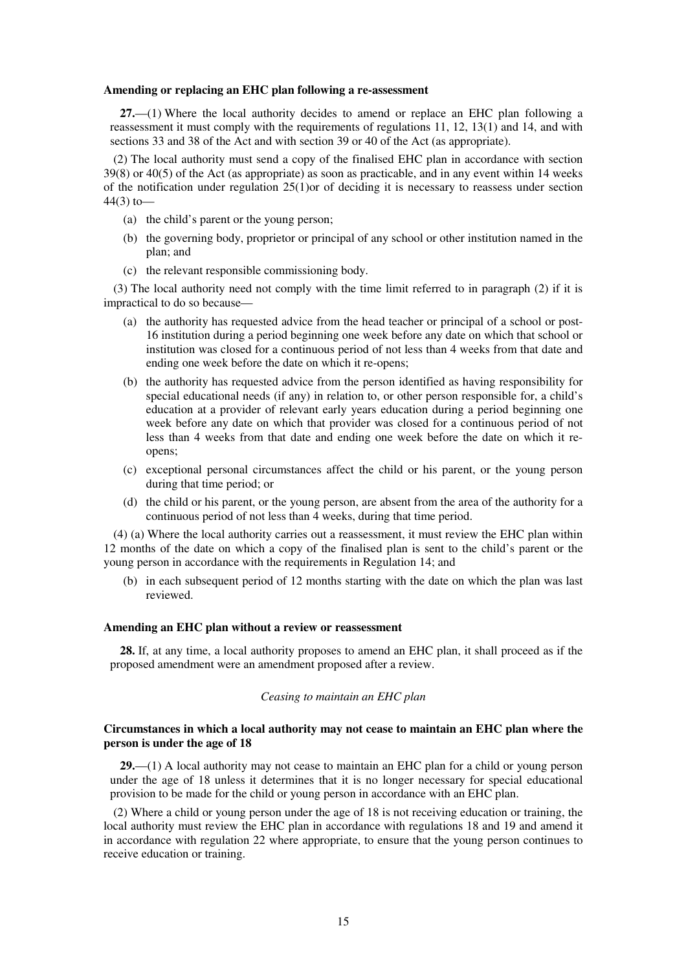#### **Amending or replacing an EHC plan following a re-assessment**

**27.**—(1) Where the local authority decides to amend or replace an EHC plan following a reassessment it must comply with the requirements of regulations 11, 12, 13(1) and 14, and with sections 33 and 38 of the Act and with section 39 or 40 of the Act (as appropriate).

(2) The local authority must send a copy of the finalised EHC plan in accordance with section 39(8) or 40(5) of the Act (as appropriate) as soon as practicable, and in any event within 14 weeks of the notification under regulation 25(1)or of deciding it is necessary to reassess under section  $44(3)$  to —

- (a) the child's parent or the young person;
- (b) the governing body, proprietor or principal of any school or other institution named in the plan; and
- (c) the relevant responsible commissioning body.

(3) The local authority need not comply with the time limit referred to in paragraph (2) if it is impractical to do so because—

- (a) the authority has requested advice from the head teacher or principal of a school or post-16 institution during a period beginning one week before any date on which that school or institution was closed for a continuous period of not less than 4 weeks from that date and ending one week before the date on which it re-opens;
- (b) the authority has requested advice from the person identified as having responsibility for special educational needs (if any) in relation to, or other person responsible for, a child's education at a provider of relevant early years education during a period beginning one week before any date on which that provider was closed for a continuous period of not less than 4 weeks from that date and ending one week before the date on which it reopens;
- (c) exceptional personal circumstances affect the child or his parent, or the young person during that time period; or
- (d) the child or his parent, or the young person, are absent from the area of the authority for a continuous period of not less than 4 weeks, during that time period.

(4) (a) Where the local authority carries out a reassessment, it must review the EHC plan within 12 months of the date on which a copy of the finalised plan is sent to the child's parent or the young person in accordance with the requirements in Regulation 14; and

(b) in each subsequent period of 12 months starting with the date on which the plan was last reviewed.

#### **Amending an EHC plan without a review or reassessment**

**28.** If, at any time, a local authority proposes to amend an EHC plan, it shall proceed as if the proposed amendment were an amendment proposed after a review.

#### *Ceasing to maintain an EHC plan*

### **Circumstances in which a local authority may not cease to maintain an EHC plan where the person is under the age of 18**

**29.**—(1) A local authority may not cease to maintain an EHC plan for a child or young person under the age of 18 unless it determines that it is no longer necessary for special educational provision to be made for the child or young person in accordance with an EHC plan.

(2) Where a child or young person under the age of 18 is not receiving education or training, the local authority must review the EHC plan in accordance with regulations 18 and 19 and amend it in accordance with regulation 22 where appropriate, to ensure that the young person continues to receive education or training.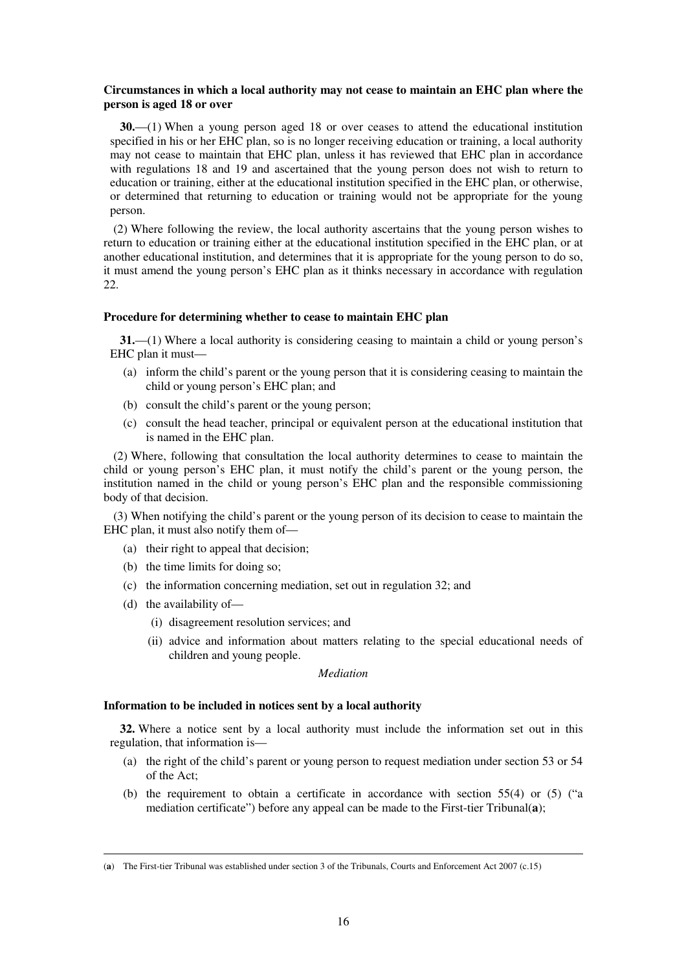#### **Circumstances in which a local authority may not cease to maintain an EHC plan where the person is aged 18 or over**

**30.**—(1) When a young person aged 18 or over ceases to attend the educational institution specified in his or her EHC plan, so is no longer receiving education or training, a local authority may not cease to maintain that EHC plan, unless it has reviewed that EHC plan in accordance with regulations 18 and 19 and ascertained that the young person does not wish to return to education or training, either at the educational institution specified in the EHC plan, or otherwise, or determined that returning to education or training would not be appropriate for the young person.

(2) Where following the review, the local authority ascertains that the young person wishes to return to education or training either at the educational institution specified in the EHC plan, or at another educational institution, and determines that it is appropriate for the young person to do so, it must amend the young person's EHC plan as it thinks necessary in accordance with regulation 22.

#### **Procedure for determining whether to cease to maintain EHC plan**

**31.**—(1) Where a local authority is considering ceasing to maintain a child or young person's EHC plan it must—

- (a) inform the child's parent or the young person that it is considering ceasing to maintain the child or young person's EHC plan; and
- (b) consult the child's parent or the young person;
- (c) consult the head teacher, principal or equivalent person at the educational institution that is named in the EHC plan.

(2) Where, following that consultation the local authority determines to cease to maintain the child or young person's EHC plan, it must notify the child's parent or the young person, the institution named in the child or young person's EHC plan and the responsible commissioning body of that decision.

(3) When notifying the child's parent or the young person of its decision to cease to maintain the EHC plan, it must also notify them of—

- (a) their right to appeal that decision;
- (b) the time limits for doing so;
- (c) the information concerning mediation, set out in regulation 32; and
- (d) the availability of—

<u>.</u>

- (i) disagreement resolution services; and
- (ii) advice and information about matters relating to the special educational needs of children and young people.

#### *Mediation*

#### **Information to be included in notices sent by a local authority**

**32.** Where a notice sent by a local authority must include the information set out in this regulation, that information is—

- (a) the right of the child's parent or young person to request mediation under section 53 or 54 of the Act;
- (b) the requirement to obtain a certificate in accordance with section 55(4) or (5) ("a mediation certificate") before any appeal can be made to the First-tier Tribunal(**a**);

<sup>(</sup>**a**) The First-tier Tribunal was established under section 3 of the Tribunals, Courts and Enforcement Act 2007 (c.15)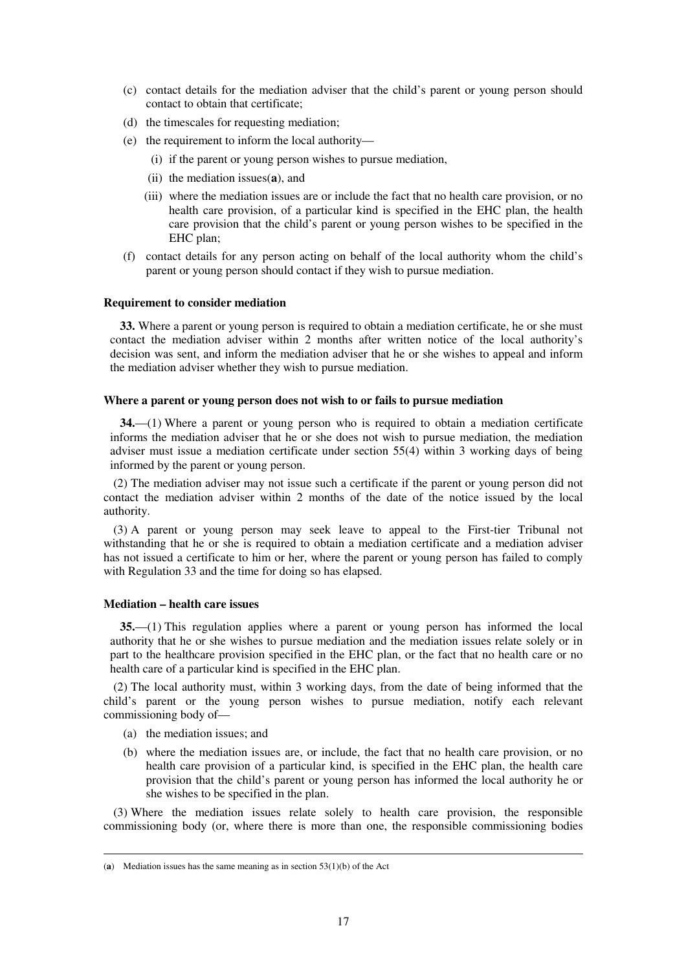- (c) contact details for the mediation adviser that the child's parent or young person should contact to obtain that certificate;
- (d) the timescales for requesting mediation;
- (e) the requirement to inform the local authority—
	- (i) if the parent or young person wishes to pursue mediation,
	- (ii) the mediation issues(**a**), and
	- (iii) where the mediation issues are or include the fact that no health care provision, or no health care provision, of a particular kind is specified in the EHC plan, the health care provision that the child's parent or young person wishes to be specified in the EHC plan;
- (f) contact details for any person acting on behalf of the local authority whom the child's parent or young person should contact if they wish to pursue mediation.

#### **Requirement to consider mediation**

**33.** Where a parent or young person is required to obtain a mediation certificate, he or she must contact the mediation adviser within 2 months after written notice of the local authority's decision was sent, and inform the mediation adviser that he or she wishes to appeal and inform the mediation adviser whether they wish to pursue mediation.

#### **Where a parent or young person does not wish to or fails to pursue mediation**

**34.**—(1) Where a parent or young person who is required to obtain a mediation certificate informs the mediation adviser that he or she does not wish to pursue mediation, the mediation adviser must issue a mediation certificate under section 55(4) within 3 working days of being informed by the parent or young person.

(2) The mediation adviser may not issue such a certificate if the parent or young person did not contact the mediation adviser within 2 months of the date of the notice issued by the local authority.

(3) A parent or young person may seek leave to appeal to the First-tier Tribunal not withstanding that he or she is required to obtain a mediation certificate and a mediation adviser has not issued a certificate to him or her, where the parent or young person has failed to comply with Regulation 33 and the time for doing so has elapsed.

#### **Mediation – health care issues**

**35.**—(1) This regulation applies where a parent or young person has informed the local authority that he or she wishes to pursue mediation and the mediation issues relate solely or in part to the healthcare provision specified in the EHC plan, or the fact that no health care or no health care of a particular kind is specified in the EHC plan.

(2) The local authority must, within 3 working days, from the date of being informed that the child's parent or the young person wishes to pursue mediation, notify each relevant commissioning body of—

(a) the mediation issues; and

<u>.</u>

(b) where the mediation issues are, or include, the fact that no health care provision, or no health care provision of a particular kind, is specified in the EHC plan, the health care provision that the child's parent or young person has informed the local authority he or she wishes to be specified in the plan.

(3) Where the mediation issues relate solely to health care provision, the responsible commissioning body (or, where there is more than one, the responsible commissioning bodies

<sup>(</sup>**a**) Mediation issues has the same meaning as in section 53(1)(b) of the Act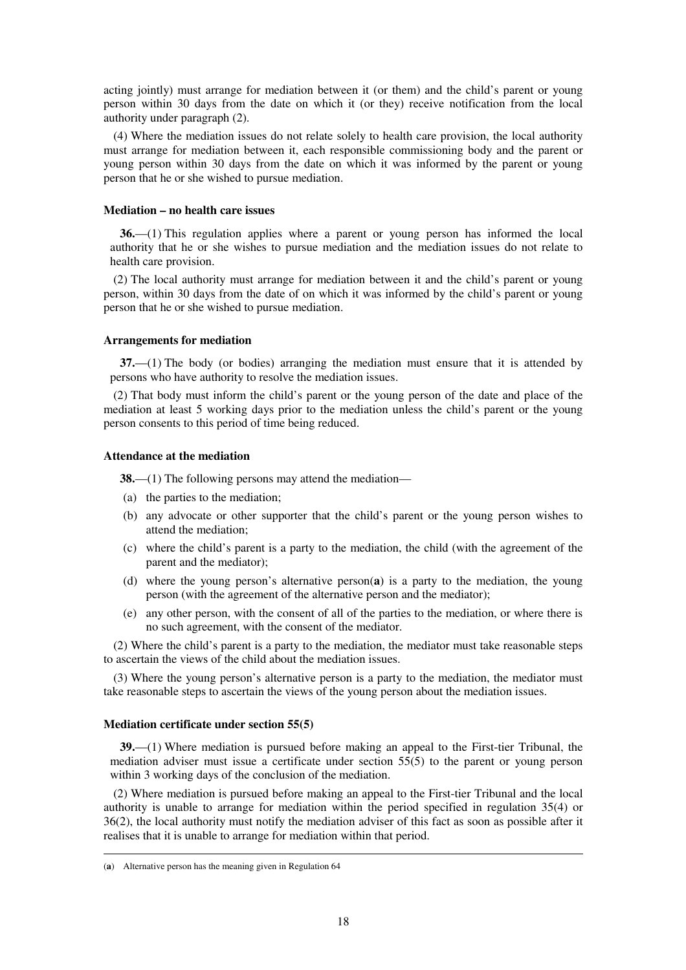acting jointly) must arrange for mediation between it (or them) and the child's parent or young person within 30 days from the date on which it (or they) receive notification from the local authority under paragraph (2).

(4) Where the mediation issues do not relate solely to health care provision, the local authority must arrange for mediation between it, each responsible commissioning body and the parent or young person within 30 days from the date on which it was informed by the parent or young person that he or she wished to pursue mediation.

#### **Mediation – no health care issues**

**36.**—(1) This regulation applies where a parent or young person has informed the local authority that he or she wishes to pursue mediation and the mediation issues do not relate to health care provision.

(2) The local authority must arrange for mediation between it and the child's parent or young person, within 30 days from the date of on which it was informed by the child's parent or young person that he or she wished to pursue mediation.

#### **Arrangements for mediation**

**37.**—(1) The body (or bodies) arranging the mediation must ensure that it is attended by persons who have authority to resolve the mediation issues.

(2) That body must inform the child's parent or the young person of the date and place of the mediation at least 5 working days prior to the mediation unless the child's parent or the young person consents to this period of time being reduced.

#### **Attendance at the mediation**

**38.**—(1) The following persons may attend the mediation—

- (a) the parties to the mediation;
- (b) any advocate or other supporter that the child's parent or the young person wishes to attend the mediation;
- (c) where the child's parent is a party to the mediation, the child (with the agreement of the parent and the mediator);
- (d) where the young person's alternative person(**a**) is a party to the mediation, the young person (with the agreement of the alternative person and the mediator);
- (e) any other person, with the consent of all of the parties to the mediation, or where there is no such agreement, with the consent of the mediator.

(2) Where the child's parent is a party to the mediation, the mediator must take reasonable steps to ascertain the views of the child about the mediation issues.

(3) Where the young person's alternative person is a party to the mediation, the mediator must take reasonable steps to ascertain the views of the young person about the mediation issues.

#### **Mediation certificate under section 55(5)**

**39.**—(1) Where mediation is pursued before making an appeal to the First-tier Tribunal, the mediation adviser must issue a certificate under section 55(5) to the parent or young person within 3 working days of the conclusion of the mediation.

(2) Where mediation is pursued before making an appeal to the First-tier Tribunal and the local authority is unable to arrange for mediation within the period specified in regulation 35(4) or 36(2), the local authority must notify the mediation adviser of this fact as soon as possible after it realises that it is unable to arrange for mediation within that period.

<sup>(</sup>**a**) Alternative person has the meaning given in Regulation 64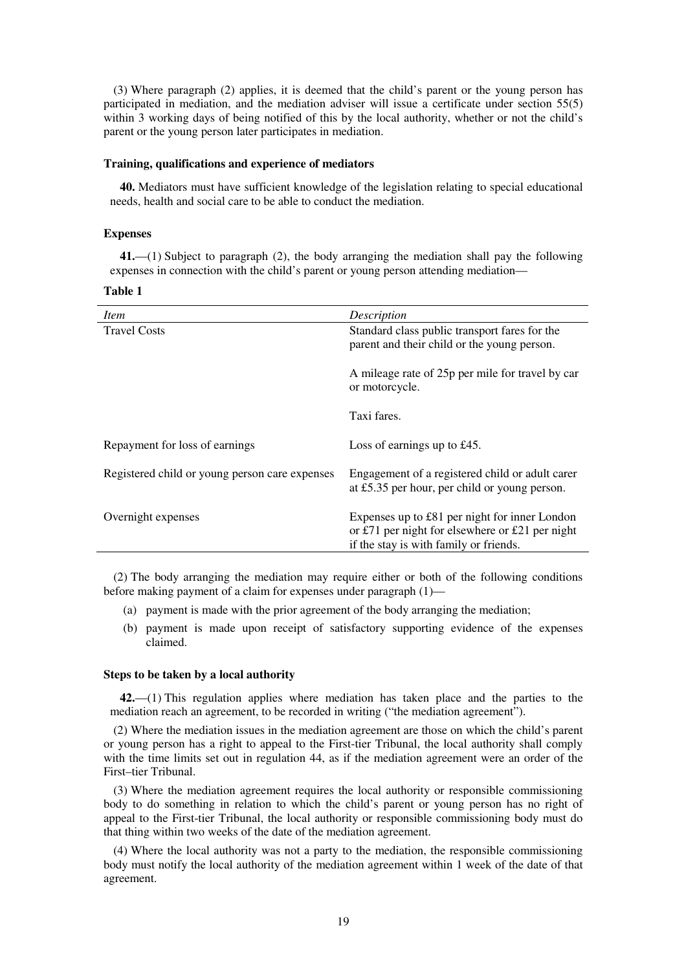(3) Where paragraph (2) applies, it is deemed that the child's parent or the young person has participated in mediation, and the mediation adviser will issue a certificate under section 55(5) within 3 working days of being notified of this by the local authority, whether or not the child's parent or the young person later participates in mediation.

#### **Training, qualifications and experience of mediators**

**40.** Mediators must have sufficient knowledge of the legislation relating to special educational needs, health and social care to be able to conduct the mediation.

#### **Expenses**

**41.**—(1) Subject to paragraph (2), the body arranging the mediation shall pay the following expenses in connection with the child's parent or young person attending mediation—

**Table 1** 

| <i>Item</i>                                    | Description                                                                                                                                |
|------------------------------------------------|--------------------------------------------------------------------------------------------------------------------------------------------|
| <b>Travel Costs</b>                            | Standard class public transport fares for the<br>parent and their child or the young person.                                               |
|                                                | A mileage rate of 25p per mile for travel by car<br>or motorcycle.                                                                         |
|                                                | Taxi fares.                                                                                                                                |
| Repayment for loss of earnings                 | Loss of earnings up to $£45$ .                                                                                                             |
| Registered child or young person care expenses | Engagement of a registered child or adult carer<br>at £5.35 per hour, per child or young person.                                           |
| Overnight expenses                             | Expenses up to £81 per night for inner London<br>or £71 per night for elsewhere or £21 per night<br>if the stay is with family or friends. |

(2) The body arranging the mediation may require either or both of the following conditions before making payment of a claim for expenses under paragraph (1)—

- (a) payment is made with the prior agreement of the body arranging the mediation;
- (b) payment is made upon receipt of satisfactory supporting evidence of the expenses claimed.

#### **Steps to be taken by a local authority**

**42.**—(1) This regulation applies where mediation has taken place and the parties to the mediation reach an agreement, to be recorded in writing ("the mediation agreement").

(2) Where the mediation issues in the mediation agreement are those on which the child's parent or young person has a right to appeal to the First-tier Tribunal, the local authority shall comply with the time limits set out in regulation 44, as if the mediation agreement were an order of the First–tier Tribunal.

(3) Where the mediation agreement requires the local authority or responsible commissioning body to do something in relation to which the child's parent or young person has no right of appeal to the First-tier Tribunal, the local authority or responsible commissioning body must do that thing within two weeks of the date of the mediation agreement.

(4) Where the local authority was not a party to the mediation, the responsible commissioning body must notify the local authority of the mediation agreement within 1 week of the date of that agreement.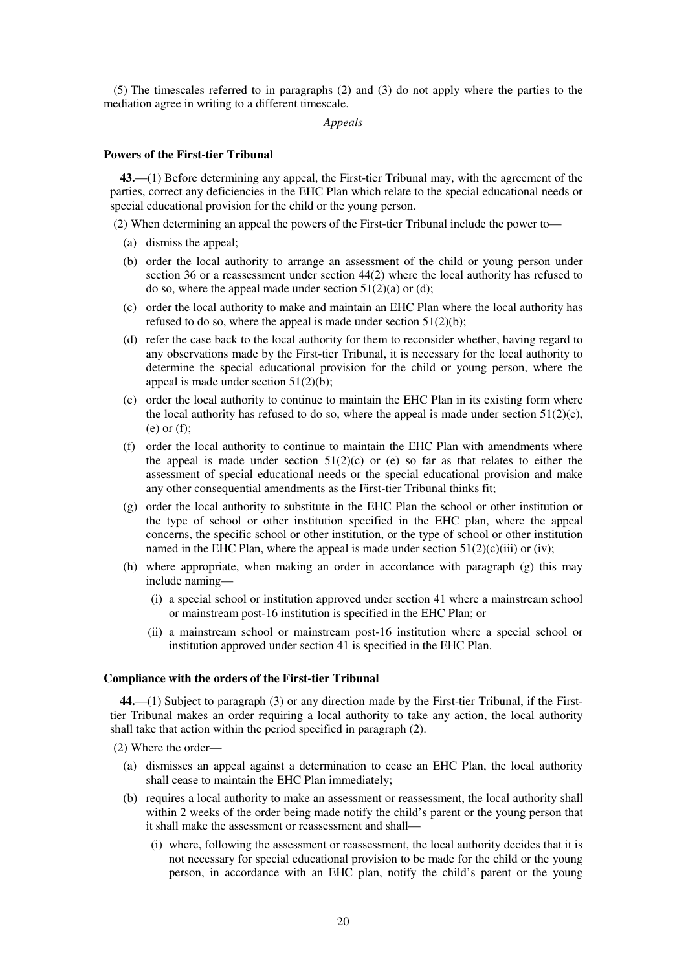(5) The timescales referred to in paragraphs (2) and (3) do not apply where the parties to the mediation agree in writing to a different timescale.

*Appeals* 

#### **Powers of the First-tier Tribunal**

**43.**—(1) Before determining any appeal, the First-tier Tribunal may, with the agreement of the parties, correct any deficiencies in the EHC Plan which relate to the special educational needs or special educational provision for the child or the young person.

(2) When determining an appeal the powers of the First-tier Tribunal include the power to—

- (a) dismiss the appeal;
- (b) order the local authority to arrange an assessment of the child or young person under section 36 or a reassessment under section 44(2) where the local authority has refused to do so, where the appeal made under section  $51(2)(a)$  or (d);
- (c) order the local authority to make and maintain an EHC Plan where the local authority has refused to do so, where the appeal is made under section  $51(2)(b)$ ;
- (d) refer the case back to the local authority for them to reconsider whether, having regard to any observations made by the First-tier Tribunal, it is necessary for the local authority to determine the special educational provision for the child or young person, where the appeal is made under section 51(2)(b);
- (e) order the local authority to continue to maintain the EHC Plan in its existing form where the local authority has refused to do so, where the appeal is made under section  $51(2)(c)$ , (e) or (f);
- (f) order the local authority to continue to maintain the EHC Plan with amendments where the appeal is made under section  $51(2)(c)$  or (e) so far as that relates to either the assessment of special educational needs or the special educational provision and make any other consequential amendments as the First-tier Tribunal thinks fit;
- (g) order the local authority to substitute in the EHC Plan the school or other institution or the type of school or other institution specified in the EHC plan, where the appeal concerns, the specific school or other institution, or the type of school or other institution named in the EHC Plan, where the appeal is made under section  $51(2)(c)(iii)$  or (iv);
- (h) where appropriate, when making an order in accordance with paragraph (g) this may include naming—
	- (i) a special school or institution approved under section 41 where a mainstream school or mainstream post-16 institution is specified in the EHC Plan; or
	- (ii) a mainstream school or mainstream post-16 institution where a special school or institution approved under section 41 is specified in the EHC Plan.

#### **Compliance with the orders of the First-tier Tribunal**

**44.**—(1) Subject to paragraph (3) or any direction made by the First-tier Tribunal, if the Firsttier Tribunal makes an order requiring a local authority to take any action, the local authority shall take that action within the period specified in paragraph (2).

(2) Where the order—

- (a) dismisses an appeal against a determination to cease an EHC Plan, the local authority shall cease to maintain the EHC Plan immediately;
- (b) requires a local authority to make an assessment or reassessment, the local authority shall within 2 weeks of the order being made notify the child's parent or the young person that it shall make the assessment or reassessment and shall—
	- (i) where, following the assessment or reassessment, the local authority decides that it is not necessary for special educational provision to be made for the child or the young person, in accordance with an EHC plan, notify the child's parent or the young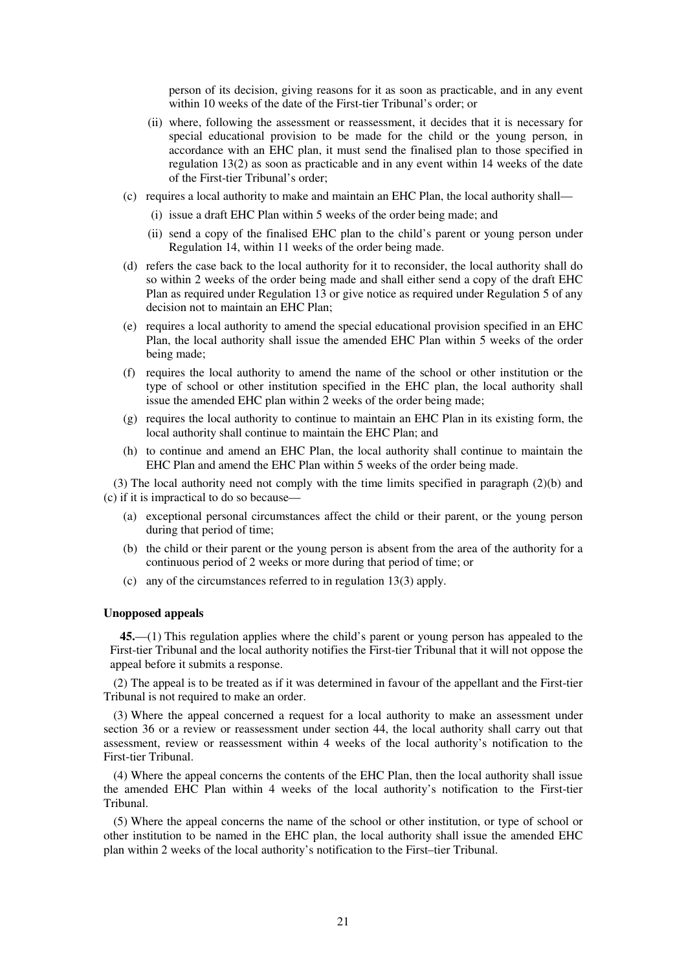person of its decision, giving reasons for it as soon as practicable, and in any event within 10 weeks of the date of the First-tier Tribunal's order; or

- (ii) where, following the assessment or reassessment, it decides that it is necessary for special educational provision to be made for the child or the young person, in accordance with an EHC plan, it must send the finalised plan to those specified in regulation 13(2) as soon as practicable and in any event within 14 weeks of the date of the First-tier Tribunal's order;
- (c) requires a local authority to make and maintain an EHC Plan, the local authority shall—
	- (i) issue a draft EHC Plan within 5 weeks of the order being made; and
	- (ii) send a copy of the finalised EHC plan to the child's parent or young person under Regulation 14, within 11 weeks of the order being made.
- (d) refers the case back to the local authority for it to reconsider, the local authority shall do so within 2 weeks of the order being made and shall either send a copy of the draft EHC Plan as required under Regulation 13 or give notice as required under Regulation 5 of any decision not to maintain an EHC Plan;
- (e) requires a local authority to amend the special educational provision specified in an EHC Plan, the local authority shall issue the amended EHC Plan within 5 weeks of the order being made;
- (f) requires the local authority to amend the name of the school or other institution or the type of school or other institution specified in the EHC plan, the local authority shall issue the amended EHC plan within 2 weeks of the order being made;
- (g) requires the local authority to continue to maintain an EHC Plan in its existing form, the local authority shall continue to maintain the EHC Plan; and
- (h) to continue and amend an EHC Plan, the local authority shall continue to maintain the EHC Plan and amend the EHC Plan within 5 weeks of the order being made.

(3) The local authority need not comply with the time limits specified in paragraph (2)(b) and (c) if it is impractical to do so because—

- (a) exceptional personal circumstances affect the child or their parent, or the young person during that period of time;
- (b) the child or their parent or the young person is absent from the area of the authority for a continuous period of 2 weeks or more during that period of time; or
- (c) any of the circumstances referred to in regulation 13(3) apply.

#### **Unopposed appeals**

**45.**—(1) This regulation applies where the child's parent or young person has appealed to the First-tier Tribunal and the local authority notifies the First-tier Tribunal that it will not oppose the appeal before it submits a response.

(2) The appeal is to be treated as if it was determined in favour of the appellant and the First-tier Tribunal is not required to make an order.

(3) Where the appeal concerned a request for a local authority to make an assessment under section 36 or a review or reassessment under section 44, the local authority shall carry out that assessment, review or reassessment within 4 weeks of the local authority's notification to the First-tier Tribunal.

(4) Where the appeal concerns the contents of the EHC Plan, then the local authority shall issue the amended EHC Plan within 4 weeks of the local authority's notification to the First-tier Tribunal.

(5) Where the appeal concerns the name of the school or other institution, or type of school or other institution to be named in the EHC plan, the local authority shall issue the amended EHC plan within 2 weeks of the local authority's notification to the First–tier Tribunal.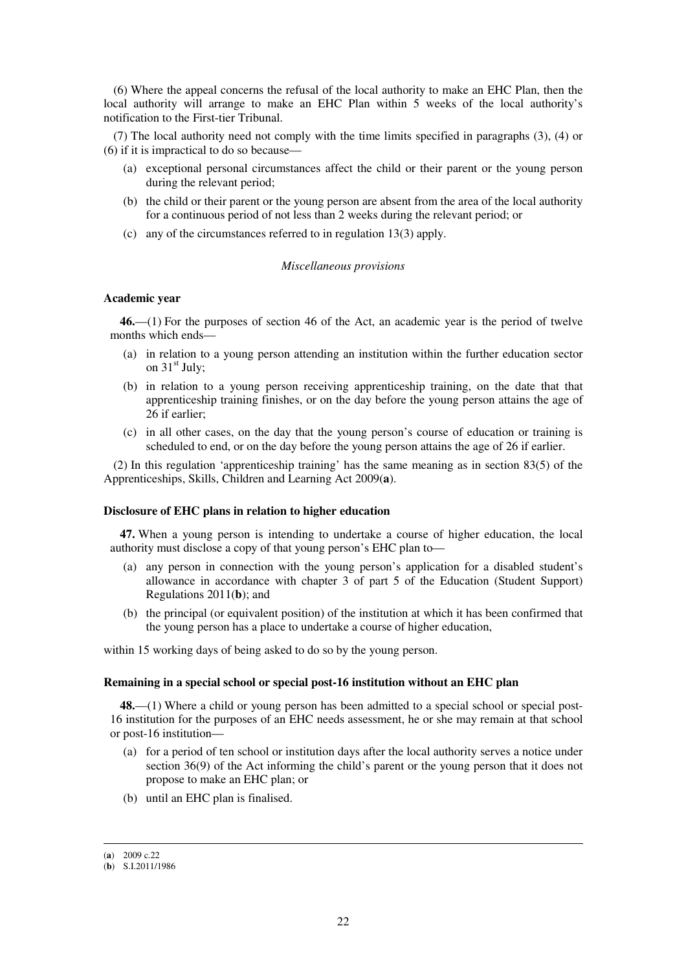(6) Where the appeal concerns the refusal of the local authority to make an EHC Plan, then the local authority will arrange to make an EHC Plan within 5 weeks of the local authority's notification to the First-tier Tribunal.

(7) The local authority need not comply with the time limits specified in paragraphs (3), (4) or (6) if it is impractical to do so because—

- (a) exceptional personal circumstances affect the child or their parent or the young person during the relevant period;
- (b) the child or their parent or the young person are absent from the area of the local authority for a continuous period of not less than 2 weeks during the relevant period; or
- (c) any of the circumstances referred to in regulation 13(3) apply.

#### *Miscellaneous provisions*

#### **Academic year**

**46.**—(1) For the purposes of section 46 of the Act, an academic year is the period of twelve months which ends—

- (a) in relation to a young person attending an institution within the further education sector on  $31<sup>st</sup>$  July;
- (b) in relation to a young person receiving apprenticeship training, on the date that that apprenticeship training finishes, or on the day before the young person attains the age of 26 if earlier;
- (c) in all other cases, on the day that the young person's course of education or training is scheduled to end, or on the day before the young person attains the age of 26 if earlier.

(2) In this regulation 'apprenticeship training' has the same meaning as in section 83(5) of the Apprenticeships, Skills, Children and Learning Act 2009(**a**).

#### **Disclosure of EHC plans in relation to higher education**

**47.** When a young person is intending to undertake a course of higher education, the local authority must disclose a copy of that young person's EHC plan to—

- (a) any person in connection with the young person's application for a disabled student's allowance in accordance with chapter 3 of part 5 of the Education (Student Support) Regulations 2011(**b**); and
- (b) the principal (or equivalent position) of the institution at which it has been confirmed that the young person has a place to undertake a course of higher education,

within 15 working days of being asked to do so by the young person.

#### **Remaining in a special school or special post-16 institution without an EHC plan**

**48.**—(1) Where a child or young person has been admitted to a special school or special post-16 institution for the purposes of an EHC needs assessment, he or she may remain at that school or post-16 institution—

- (a) for a period of ten school or institution days after the local authority serves a notice under section 36(9) of the Act informing the child's parent or the young person that it does not propose to make an EHC plan; or
- (b) until an EHC plan is finalised.

<sup>(</sup>**a**) 2009 c.22

<sup>(</sup>**b**) S.I.2011/1986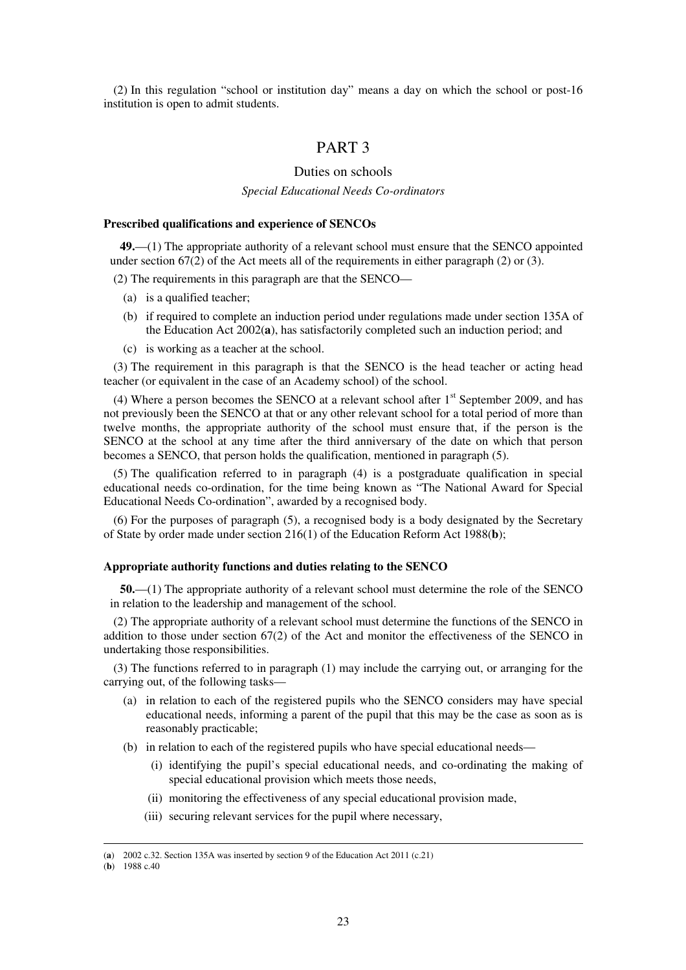(2) In this regulation "school or institution day" means a day on which the school or post-16 institution is open to admit students.

# PART 3

## Duties on schools

## *Special Educational Needs Co-ordinators*

#### **Prescribed qualifications and experience of SENCOs**

**49.**—(1) The appropriate authority of a relevant school must ensure that the SENCO appointed under section 67(2) of the Act meets all of the requirements in either paragraph (2) or (3).

(2) The requirements in this paragraph are that the SENCO—

- (a) is a qualified teacher;
- (b) if required to complete an induction period under regulations made under section 135A of the Education Act 2002(**a**), has satisfactorily completed such an induction period; and
- (c) is working as a teacher at the school.

(3) The requirement in this paragraph is that the SENCO is the head teacher or acting head teacher (or equivalent in the case of an Academy school) of the school.

(4) Where a person becomes the SENCO at a relevant school after  $1<sup>st</sup>$  September 2009, and has not previously been the SENCO at that or any other relevant school for a total period of more than twelve months, the appropriate authority of the school must ensure that, if the person is the SENCO at the school at any time after the third anniversary of the date on which that person becomes a SENCO, that person holds the qualification, mentioned in paragraph (5).

(5) The qualification referred to in paragraph (4) is a postgraduate qualification in special educational needs co-ordination, for the time being known as "The National Award for Special Educational Needs Co-ordination", awarded by a recognised body.

(6) For the purposes of paragraph (5), a recognised body is a body designated by the Secretary of State by order made under section 216(1) of the Education Reform Act 1988(**b**);

#### **Appropriate authority functions and duties relating to the SENCO**

**50.**—(1) The appropriate authority of a relevant school must determine the role of the SENCO in relation to the leadership and management of the school.

(2) The appropriate authority of a relevant school must determine the functions of the SENCO in addition to those under section  $67(2)$  of the Act and monitor the effectiveness of the SENCO in undertaking those responsibilities.

(3) The functions referred to in paragraph (1) may include the carrying out, or arranging for the carrying out, of the following tasks—

- (a) in relation to each of the registered pupils who the SENCO considers may have special educational needs, informing a parent of the pupil that this may be the case as soon as is reasonably practicable;
- (b) in relation to each of the registered pupils who have special educational needs—
	- (i) identifying the pupil's special educational needs, and co-ordinating the making of special educational provision which meets those needs,
	- (ii) monitoring the effectiveness of any special educational provision made,
	- (iii) securing relevant services for the pupil where necessary,

<sup>(</sup>**a**) 2002 c.32. Section 135A was inserted by section 9 of the Education Act 2011 (c.21)

<sup>(</sup>**b**) 1988 c.40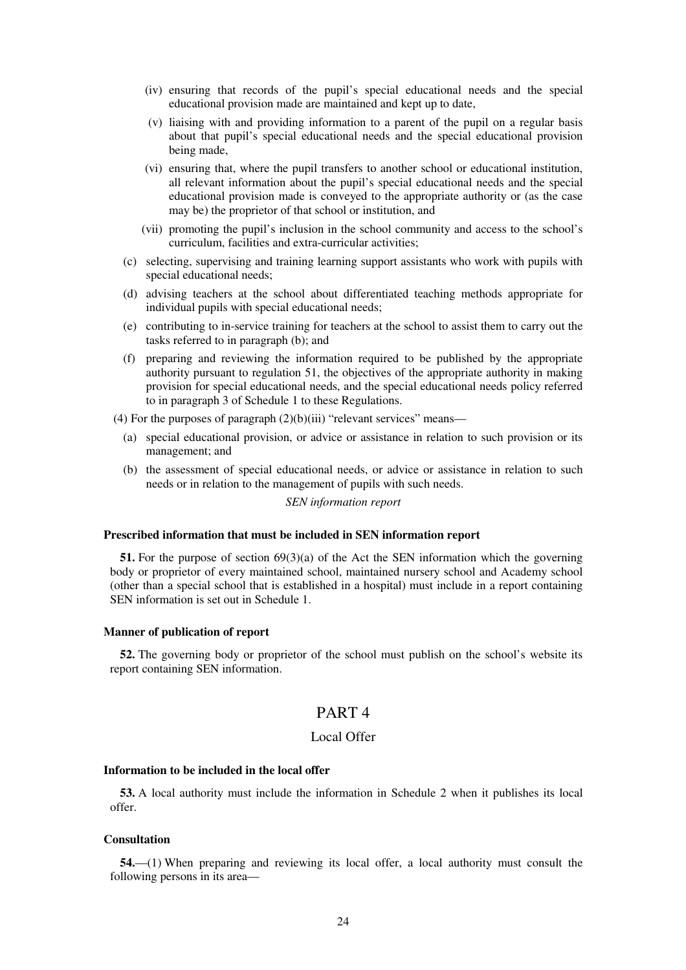- (iv) ensuring that records of the pupil's special educational needs and the special educational provision made are maintained and kept up to date,
- (v) liaising with and providing information to a parent of the pupil on a regular basis about that pupil's special educational needs and the special educational provision being made,
- (vi) ensuring that, where the pupil transfers to another school or educational institution, all relevant information about the pupil's special educational needs and the special educational provision made is conveyed to the appropriate authority or (as the case may be) the proprietor of that school or institution, and
- (vii) promoting the pupil's inclusion in the school community and access to the school's curriculum, facilities and extra-curricular activities;
- (c) selecting, supervising and training learning support assistants who work with pupils with special educational needs;
- (d) advising teachers at the school about differentiated teaching methods appropriate for individual pupils with special educational needs;
- (e) contributing to in-service training for teachers at the school to assist them to carry out the tasks referred to in paragraph (b); and
- (f) preparing and reviewing the information required to be published by the appropriate authority pursuant to regulation 51, the objectives of the appropriate authority in making provision for special educational needs, and the special educational needs policy referred to in paragraph 3 of Schedule 1 to these Regulations.
- (4) For the purposes of paragraph  $(2)(b)(iii)$  "relevant services" means—
	- (a) special educational provision, or advice or assistance in relation to such provision or its management; and
	- (b) the assessment of special educational needs, or advice or assistance in relation to such needs or in relation to the management of pupils with such needs.

#### *SEN information report*

#### **Prescribed information that must be included in SEN information report**

**51.** For the purpose of section 69(3)(a) of the Act the SEN information which the governing body or proprietor of every maintained school, maintained nursery school and Academy school (other than a special school that is established in a hospital) must include in a report containing SEN information is set out in Schedule 1.

#### **Manner of publication of report**

**52.** The governing body or proprietor of the school must publish on the school's website its report containing SEN information.

# PART 4

# Local Offer

#### **Information to be included in the local offer**

**53.** A local authority must include the information in Schedule 2 when it publishes its local offer.

#### **Consultation**

**54.**—(1) When preparing and reviewing its local offer, a local authority must consult the following persons in its area—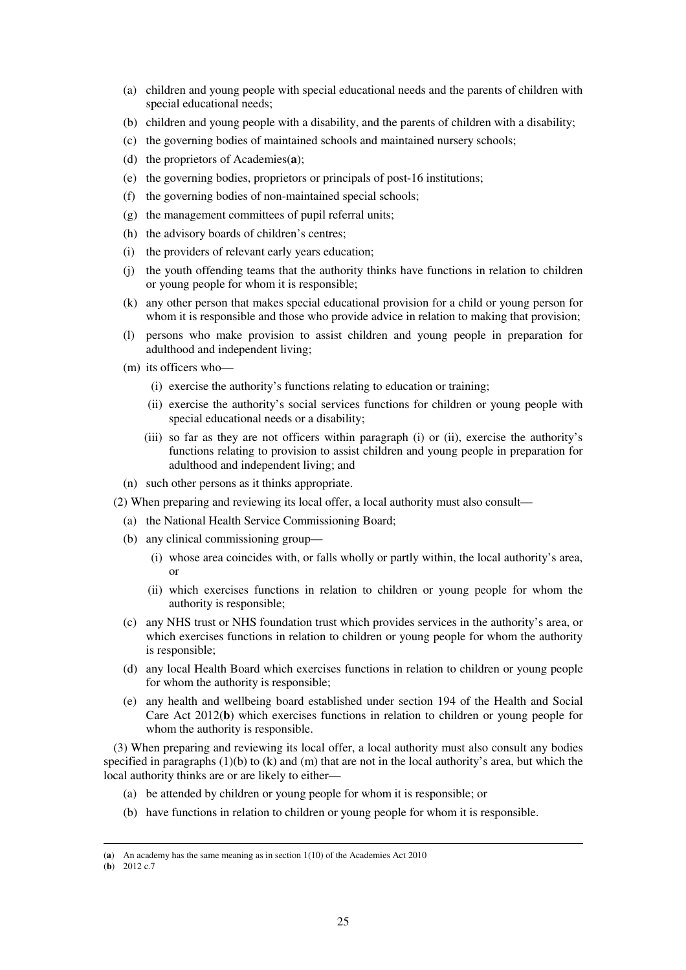- (a) children and young people with special educational needs and the parents of children with special educational needs;
- (b) children and young people with a disability, and the parents of children with a disability;
- (c) the governing bodies of maintained schools and maintained nursery schools;
- (d) the proprietors of Academies(**a**);
- (e) the governing bodies, proprietors or principals of post-16 institutions;
- (f) the governing bodies of non-maintained special schools;
- (g) the management committees of pupil referral units;
- (h) the advisory boards of children's centres;
- (i) the providers of relevant early years education;
- (j) the youth offending teams that the authority thinks have functions in relation to children or young people for whom it is responsible;
- (k) any other person that makes special educational provision for a child or young person for whom it is responsible and those who provide advice in relation to making that provision;
- (l) persons who make provision to assist children and young people in preparation for adulthood and independent living;
- (m) its officers who—
	- (i) exercise the authority's functions relating to education or training;
	- (ii) exercise the authority's social services functions for children or young people with special educational needs or a disability;
	- (iii) so far as they are not officers within paragraph (i) or (ii), exercise the authority's functions relating to provision to assist children and young people in preparation for adulthood and independent living; and
- (n) such other persons as it thinks appropriate.
- (2) When preparing and reviewing its local offer, a local authority must also consult—
	- (a) the National Health Service Commissioning Board;
	- (b) any clinical commissioning group—
		- (i) whose area coincides with, or falls wholly or partly within, the local authority's area, or
		- (ii) which exercises functions in relation to children or young people for whom the authority is responsible;
	- (c) any NHS trust or NHS foundation trust which provides services in the authority's area, or which exercises functions in relation to children or young people for whom the authority is responsible;
	- (d) any local Health Board which exercises functions in relation to children or young people for whom the authority is responsible;
	- (e) any health and wellbeing board established under section 194 of the Health and Social Care Act 2012(**b**) which exercises functions in relation to children or young people for whom the authority is responsible.

(3) When preparing and reviewing its local offer, a local authority must also consult any bodies specified in paragraphs  $(1)(b)$  to  $(k)$  and  $(m)$  that are not in the local authority's area, but which the local authority thinks are or are likely to either—

- (a) be attended by children or young people for whom it is responsible; or
- (b) have functions in relation to children or young people for whom it is responsible.

<sup>(</sup>**a**) An academy has the same meaning as in section 1(10) of the Academies Act 2010

<sup>(</sup>**b**) 2012 c.7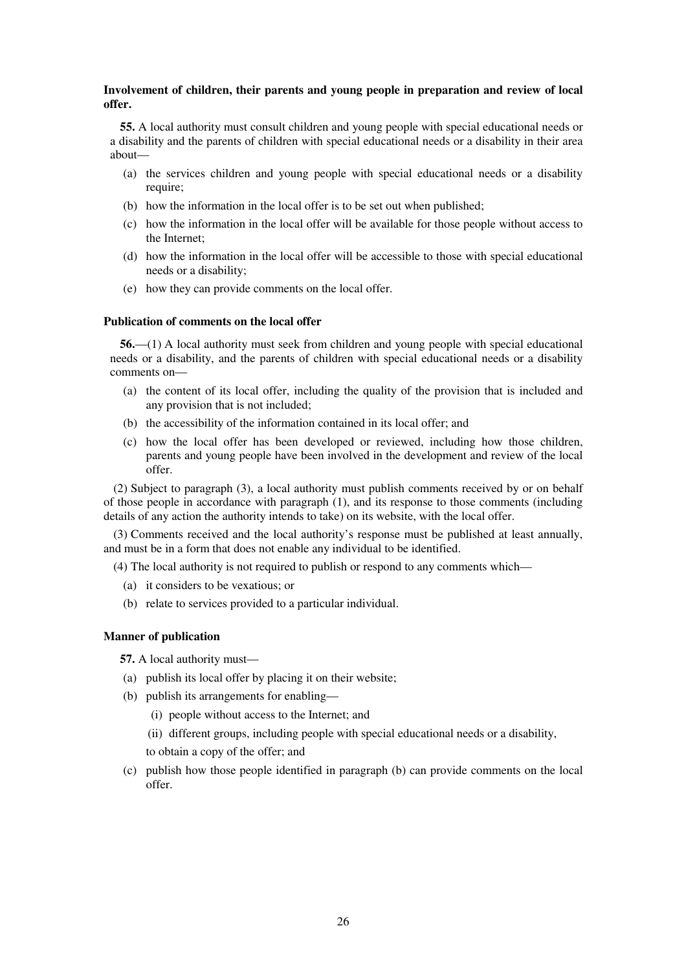### **Involvement of children, their parents and young people in preparation and review of local offer.**

**55.** A local authority must consult children and young people with special educational needs or a disability and the parents of children with special educational needs or a disability in their area about—

- (a) the services children and young people with special educational needs or a disability require:
- (b) how the information in the local offer is to be set out when published;
- (c) how the information in the local offer will be available for those people without access to the Internet;
- (d) how the information in the local offer will be accessible to those with special educational needs or a disability;
- (e) how they can provide comments on the local offer.

## **Publication of comments on the local offer**

**56.**—(1) A local authority must seek from children and young people with special educational needs or a disability, and the parents of children with special educational needs or a disability comments on-

- (a) the content of its local offer, including the quality of the provision that is included and any provision that is not included;
- (b) the accessibility of the information contained in its local offer; and
- (c) how the local offer has been developed or reviewed, including how those children, parents and young people have been involved in the development and review of the local offer.

(2) Subject to paragraph (3), a local authority must publish comments received by or on behalf of those people in accordance with paragraph (1), and its response to those comments (including details of any action the authority intends to take) on its website, with the local offer.

(3) Comments received and the local authority's response must be published at least annually, and must be in a form that does not enable any individual to be identified.

(4) The local authority is not required to publish or respond to any comments which—

- (a) it considers to be vexatious; or
- (b) relate to services provided to a particular individual.

#### **Manner of publication**

**57.** A local authority must—

- (a) publish its local offer by placing it on their website;
- (b) publish its arrangements for enabling—
	- (i) people without access to the Internet; and
	- (ii) different groups, including people with special educational needs or a disability, to obtain a copy of the offer; and
- (c) publish how those people identified in paragraph (b) can provide comments on the local offer.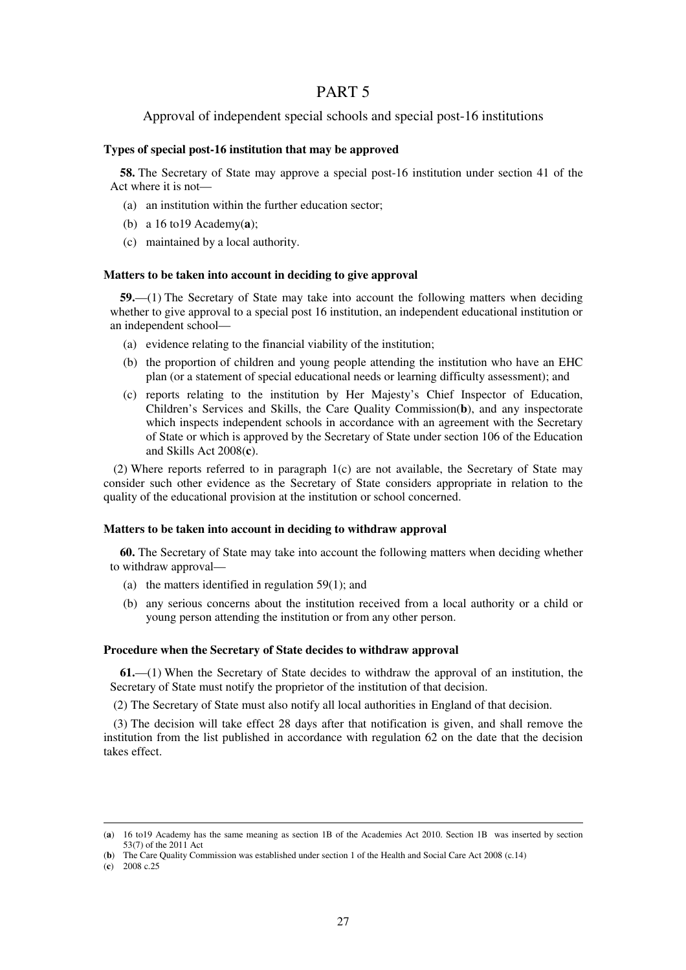# PART 5

### Approval of independent special schools and special post-16 institutions

#### **Types of special post-16 institution that may be approved**

**58.** The Secretary of State may approve a special post-16 institution under section 41 of the Act where it is not—

- (a) an institution within the further education sector;
- (b) a 16 to19 Academy(**a**);
- (c) maintained by a local authority.

#### **Matters to be taken into account in deciding to give approval**

**59.**—(1) The Secretary of State may take into account the following matters when deciding whether to give approval to a special post 16 institution, an independent educational institution or an independent school—

- (a) evidence relating to the financial viability of the institution;
- (b) the proportion of children and young people attending the institution who have an EHC plan (or a statement of special educational needs or learning difficulty assessment); and
- (c) reports relating to the institution by Her Majesty's Chief Inspector of Education, Children's Services and Skills, the Care Quality Commission(**b**), and any inspectorate which inspects independent schools in accordance with an agreement with the Secretary of State or which is approved by the Secretary of State under section 106 of the Education and Skills Act 2008(**c**).

(2) Where reports referred to in paragraph 1(c) are not available, the Secretary of State may consider such other evidence as the Secretary of State considers appropriate in relation to the quality of the educational provision at the institution or school concerned.

#### **Matters to be taken into account in deciding to withdraw approval**

**60.** The Secretary of State may take into account the following matters when deciding whether to withdraw approval—

- (a) the matters identified in regulation 59(1); and
- (b) any serious concerns about the institution received from a local authority or a child or young person attending the institution or from any other person.

#### **Procedure when the Secretary of State decides to withdraw approval**

**61.**—(1) When the Secretary of State decides to withdraw the approval of an institution, the Secretary of State must notify the proprietor of the institution of that decision.

(2) The Secretary of State must also notify all local authorities in England of that decision.

(3) The decision will take effect 28 days after that notification is given, and shall remove the institution from the list published in accordance with regulation 62 on the date that the decision takes effect.

<sup>(</sup>**a**) 16 to19 Academy has the same meaning as section 1B of the Academies Act 2010. Section 1B was inserted by section 53(7) of the 2011 Act

<sup>(</sup>**b**) The Care Quality Commission was established under section 1 of the Health and Social Care Act 2008 (c.14)

<sup>(</sup>**c**) 2008 c.25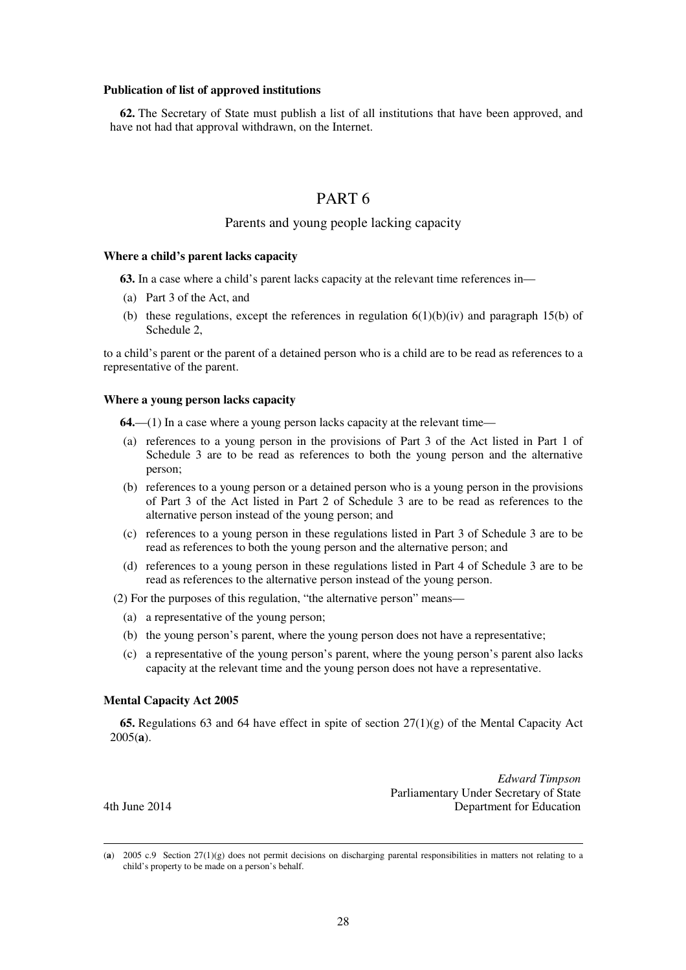#### **Publication of list of approved institutions**

**62.** The Secretary of State must publish a list of all institutions that have been approved, and have not had that approval withdrawn, on the Internet.

# PART 6

## Parents and young people lacking capacity

#### **Where a child's parent lacks capacity**

**63.** In a case where a child's parent lacks capacity at the relevant time references in—

- (a) Part 3 of the Act, and
- (b) these regulations, except the references in regulation  $6(1)(b)(iv)$  and paragraph 15(b) of Schedule 2,

to a child's parent or the parent of a detained person who is a child are to be read as references to a representative of the parent.

#### **Where a young person lacks capacity**

**64.**—(1) In a case where a young person lacks capacity at the relevant time—

- (a) references to a young person in the provisions of Part 3 of the Act listed in Part 1 of Schedule 3 are to be read as references to both the young person and the alternative person;
- (b) references to a young person or a detained person who is a young person in the provisions of Part 3 of the Act listed in Part 2 of Schedule 3 are to be read as references to the alternative person instead of the young person; and
- (c) references to a young person in these regulations listed in Part 3 of Schedule 3 are to be read as references to both the young person and the alternative person; and
- (d) references to a young person in these regulations listed in Part 4 of Schedule 3 are to be read as references to the alternative person instead of the young person.

(2) For the purposes of this regulation, "the alternative person" means—

- (a) a representative of the young person;
- (b) the young person's parent, where the young person does not have a representative;
- (c) a representative of the young person's parent, where the young person's parent also lacks capacity at the relevant time and the young person does not have a representative.

#### **Mental Capacity Act 2005**

**65.** Regulations 63 and 64 have effect in spite of section  $27(1)(g)$  of the Mental Capacity Act 2005(**a**).

<u>.</u>

*Edward Timpson* Parliamentary Under Secretary of State 4th June 2014 **Department for Education** 

<sup>(</sup>**a**) 2005 c.9 Section 27(1)(g) does not permit decisions on discharging parental responsibilities in matters not relating to a child's property to be made on a person's behalf.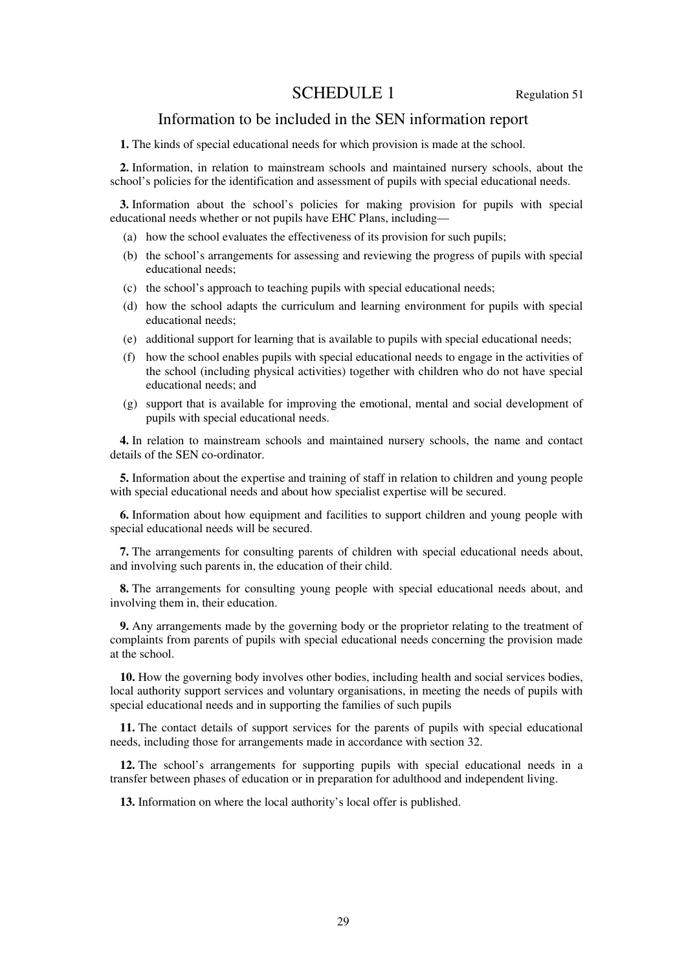# SCHEDULE 1 Regulation 51

# Information to be included in the SEN information report

**1.** The kinds of special educational needs for which provision is made at the school.

**2.** Information, in relation to mainstream schools and maintained nursery schools, about the school's policies for the identification and assessment of pupils with special educational needs.

**3.** Information about the school's policies for making provision for pupils with special educational needs whether or not pupils have EHC Plans, including—

- (a) how the school evaluates the effectiveness of its provision for such pupils;
- (b) the school's arrangements for assessing and reviewing the progress of pupils with special educational needs;
- (c) the school's approach to teaching pupils with special educational needs;
- (d) how the school adapts the curriculum and learning environment for pupils with special educational needs;
- (e) additional support for learning that is available to pupils with special educational needs;
- (f) how the school enables pupils with special educational needs to engage in the activities of the school (including physical activities) together with children who do not have special educational needs; and
- (g) support that is available for improving the emotional, mental and social development of pupils with special educational needs.

**4.** In relation to mainstream schools and maintained nursery schools, the name and contact details of the SEN co-ordinator.

**5.** Information about the expertise and training of staff in relation to children and young people with special educational needs and about how specialist expertise will be secured.

**6.** Information about how equipment and facilities to support children and young people with special educational needs will be secured.

**7.** The arrangements for consulting parents of children with special educational needs about, and involving such parents in, the education of their child.

**8.** The arrangements for consulting young people with special educational needs about, and involving them in, their education.

**9.** Any arrangements made by the governing body or the proprietor relating to the treatment of complaints from parents of pupils with special educational needs concerning the provision made at the school.

**10.** How the governing body involves other bodies, including health and social services bodies, local authority support services and voluntary organisations, in meeting the needs of pupils with special educational needs and in supporting the families of such pupils

**11.** The contact details of support services for the parents of pupils with special educational needs, including those for arrangements made in accordance with section 32.

**12.** The school's arrangements for supporting pupils with special educational needs in a transfer between phases of education or in preparation for adulthood and independent living.

**13.** Information on where the local authority's local offer is published.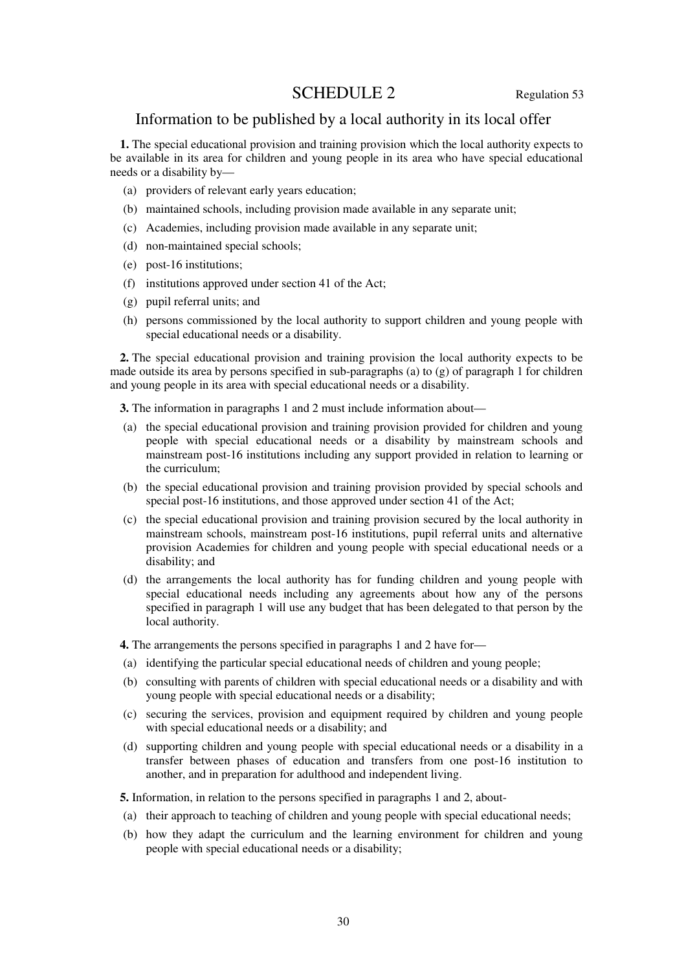# SCHEDULE 2 Regulation 53

# Information to be published by a local authority in its local offer

**1.** The special educational provision and training provision which the local authority expects to be available in its area for children and young people in its area who have special educational needs or a disability by—

- (a) providers of relevant early years education;
- (b) maintained schools, including provision made available in any separate unit;
- (c) Academies, including provision made available in any separate unit;
- (d) non-maintained special schools;
- (e) post-16 institutions;
- (f) institutions approved under section 41 of the Act;
- (g) pupil referral units; and
- (h) persons commissioned by the local authority to support children and young people with special educational needs or a disability.

**2.** The special educational provision and training provision the local authority expects to be made outside its area by persons specified in sub-paragraphs (a) to (g) of paragraph 1 for children and young people in its area with special educational needs or a disability.

**3.** The information in paragraphs 1 and 2 must include information about—

- (a) the special educational provision and training provision provided for children and young people with special educational needs or a disability by mainstream schools and mainstream post-16 institutions including any support provided in relation to learning or the curriculum;
- (b) the special educational provision and training provision provided by special schools and special post-16 institutions, and those approved under section 41 of the Act;
- (c) the special educational provision and training provision secured by the local authority in mainstream schools, mainstream post-16 institutions, pupil referral units and alternative provision Academies for children and young people with special educational needs or a disability; and
- (d) the arrangements the local authority has for funding children and young people with special educational needs including any agreements about how any of the persons specified in paragraph 1 will use any budget that has been delegated to that person by the local authority.

**4.** The arrangements the persons specified in paragraphs 1 and 2 have for—

- (a) identifying the particular special educational needs of children and young people;
- (b) consulting with parents of children with special educational needs or a disability and with young people with special educational needs or a disability;
- (c) securing the services, provision and equipment required by children and young people with special educational needs or a disability; and
- (d) supporting children and young people with special educational needs or a disability in a transfer between phases of education and transfers from one post-16 institution to another, and in preparation for adulthood and independent living.

**5.** Information, in relation to the persons specified in paragraphs 1 and 2, about-

- (a) their approach to teaching of children and young people with special educational needs;
- (b) how they adapt the curriculum and the learning environment for children and young people with special educational needs or a disability;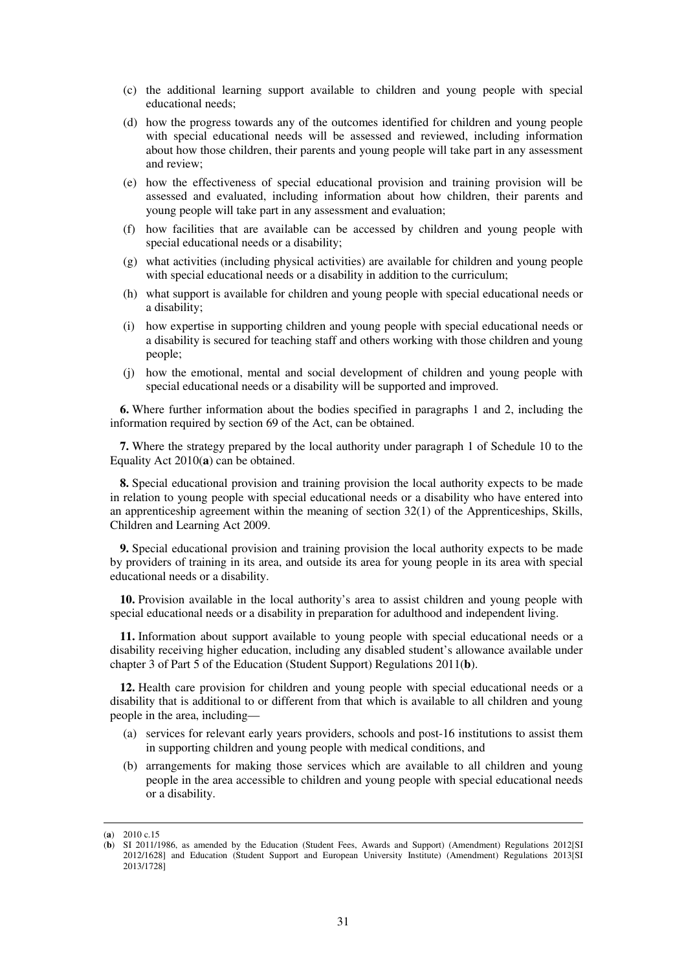- (c) the additional learning support available to children and young people with special educational needs;
- (d) how the progress towards any of the outcomes identified for children and young people with special educational needs will be assessed and reviewed, including information about how those children, their parents and young people will take part in any assessment and review;
- (e) how the effectiveness of special educational provision and training provision will be assessed and evaluated, including information about how children, their parents and young people will take part in any assessment and evaluation;
- (f) how facilities that are available can be accessed by children and young people with special educational needs or a disability;
- (g) what activities (including physical activities) are available for children and young people with special educational needs or a disability in addition to the curriculum;
- (h) what support is available for children and young people with special educational needs or a disability;
- (i) how expertise in supporting children and young people with special educational needs or a disability is secured for teaching staff and others working with those children and young people;
- (j) how the emotional, mental and social development of children and young people with special educational needs or a disability will be supported and improved.

**6.** Where further information about the bodies specified in paragraphs 1 and 2, including the information required by section 69 of the Act, can be obtained.

**7.** Where the strategy prepared by the local authority under paragraph 1 of Schedule 10 to the Equality Act 2010(**a**) can be obtained.

**8.** Special educational provision and training provision the local authority expects to be made in relation to young people with special educational needs or a disability who have entered into an apprenticeship agreement within the meaning of section 32(1) of the Apprenticeships, Skills, Children and Learning Act 2009.

**9.** Special educational provision and training provision the local authority expects to be made by providers of training in its area, and outside its area for young people in its area with special educational needs or a disability.

**10.** Provision available in the local authority's area to assist children and young people with special educational needs or a disability in preparation for adulthood and independent living.

**11.** Information about support available to young people with special educational needs or a disability receiving higher education, including any disabled student's allowance available under chapter 3 of Part 5 of the Education (Student Support) Regulations 2011(**b**).

**12.** Health care provision for children and young people with special educational needs or a disability that is additional to or different from that which is available to all children and young people in the area, including—

- (a) services for relevant early years providers, schools and post-16 institutions to assist them in supporting children and young people with medical conditions, and
- (b) arrangements for making those services which are available to all children and young people in the area accessible to children and young people with special educational needs or a disability.

<sup>(</sup>**a**) 2010 c.15

<sup>(</sup>**b**) SI 2011/1986, as amended by the Education (Student Fees, Awards and Support) (Amendment) Regulations 2012[SI 2012/1628] and Education (Student Support and European University Institute) (Amendment) Regulations 2013[SI 2013/1728]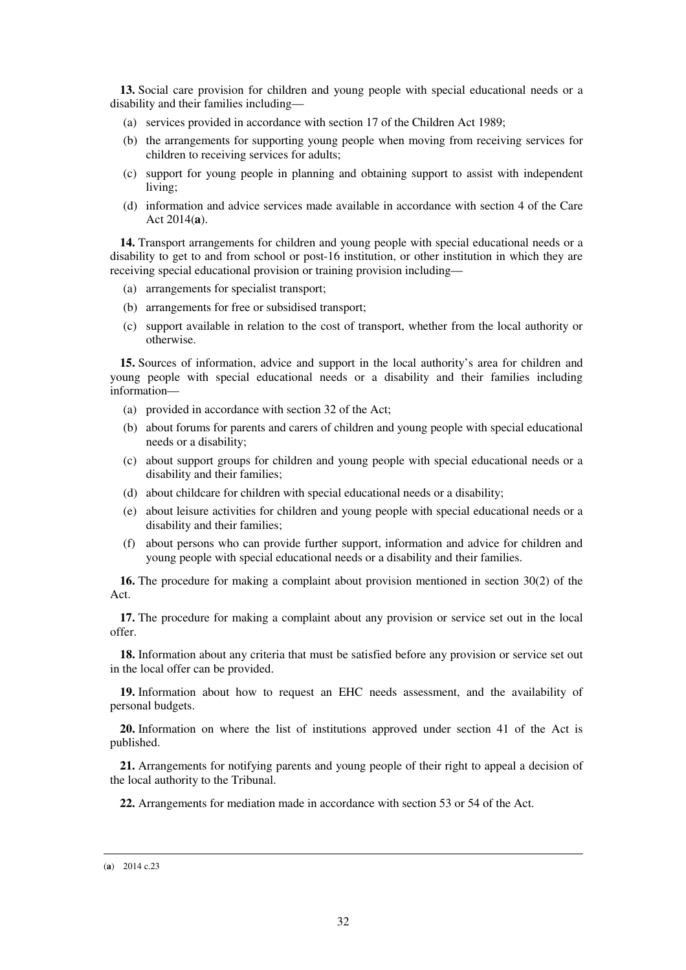**13.** Social care provision for children and young people with special educational needs or a disability and their families including—

- (a) services provided in accordance with section 17 of the Children Act 1989;
- (b) the arrangements for supporting young people when moving from receiving services for children to receiving services for adults;
- (c) support for young people in planning and obtaining support to assist with independent living;
- (d) information and advice services made available in accordance with section 4 of the Care Act 2014(**a**).

**14.** Transport arrangements for children and young people with special educational needs or a disability to get to and from school or post-16 institution, or other institution in which they are receiving special educational provision or training provision including—

- (a) arrangements for specialist transport;
- (b) arrangements for free or subsidised transport;
- (c) support available in relation to the cost of transport, whether from the local authority or otherwise.

**15.** Sources of information, advice and support in the local authority's area for children and young people with special educational needs or a disability and their families including information—

- (a) provided in accordance with section 32 of the Act;
- (b) about forums for parents and carers of children and young people with special educational needs or a disability;
- (c) about support groups for children and young people with special educational needs or a disability and their families;
- (d) about childcare for children with special educational needs or a disability;
- (e) about leisure activities for children and young people with special educational needs or a disability and their families;
- (f) about persons who can provide further support, information and advice for children and young people with special educational needs or a disability and their families.

**16.** The procedure for making a complaint about provision mentioned in section 30(2) of the Act.

**17.** The procedure for making a complaint about any provision or service set out in the local offer.

**18.** Information about any criteria that must be satisfied before any provision or service set out in the local offer can be provided.

**19.** Information about how to request an EHC needs assessment, and the availability of personal budgets.

**20.** Information on where the list of institutions approved under section 41 of the Act is published.

**21.** Arrangements for notifying parents and young people of their right to appeal a decision of the local authority to the Tribunal.

**22.** Arrangements for mediation made in accordance with section 53 or 54 of the Act.

<sup>(</sup>**a**) 2014 c.23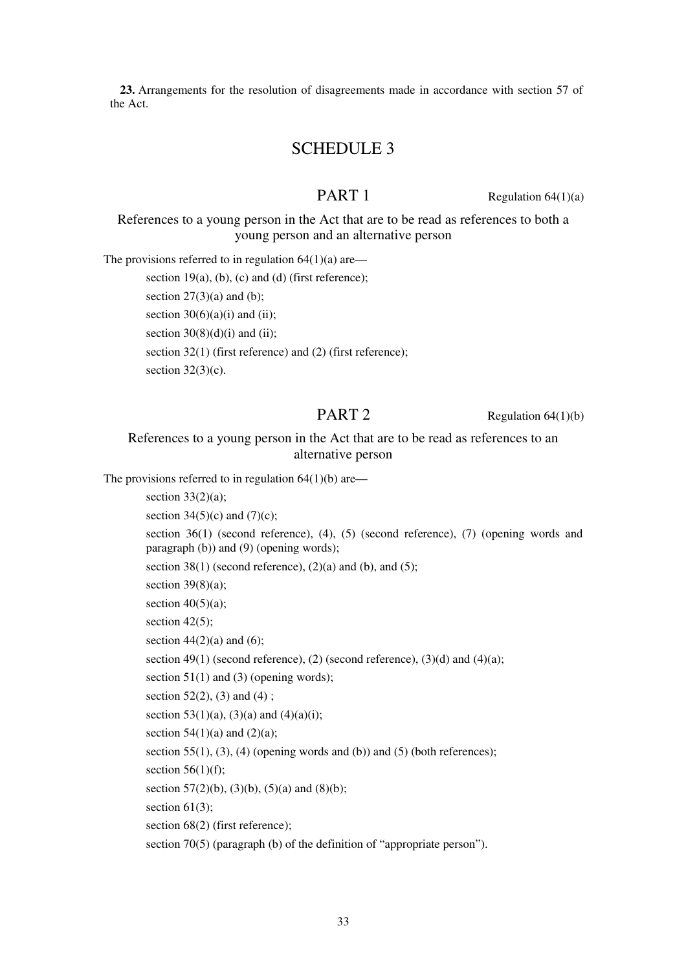**23.** Arrangements for the resolution of disagreements made in accordance with section 57 of the Act.

# SCHEDULE 3

**PART 1** Regulation  $64(1)(a)$ 

References to a young person in the Act that are to be read as references to both a young person and an alternative person

The provisions referred to in regulation  $64(1)(a)$  are—

section  $19(a)$ , (b), (c) and (d) (first reference); section  $27(3)(a)$  and (b); section  $30(6)(a)(i)$  and (ii); section  $30(8)(d)(i)$  and (ii); section 32(1) (first reference) and (2) (first reference); section  $32(3)(c)$ .

PART 2 Regulation  $64(1)(b)$ 

References to a young person in the Act that are to be read as references to an alternative person

The provisions referred to in regulation  $64(1)(b)$  are—

section  $33(2)(a)$ ; section  $34(5)(c)$  and  $(7)(c)$ ; section 36(1) (second reference), (4), (5) (second reference), (7) (opening words and paragraph (b)) and (9) (opening words); section 38(1) (second reference),  $(2)(a)$  and  $(b)$ , and  $(5)$ ; section  $39(8)(a)$ ; section  $40(5)(a)$ ; section  $42(5)$ ; section  $44(2)(a)$  and  $(6)$ ; section 49(1) (second reference), (2) (second reference), (3)(d) and (4)(a); section 51(1) and (3) (opening words); section  $52(2)$ ,  $(3)$  and  $(4)$ ; section 53(1)(a), (3)(a) and (4)(a)(i); section  $54(1)(a)$  and  $(2)(a)$ ; section 55(1), (3), (4) (opening words and (b)) and (5) (both references); section  $56(1)(f)$ ; section  $57(2)(b)$ ,  $(3)(b)$ ,  $(5)(a)$  and  $(8)(b)$ ; section  $61(3)$ ; section 68(2) (first reference); section 70(5) (paragraph (b) of the definition of "appropriate person").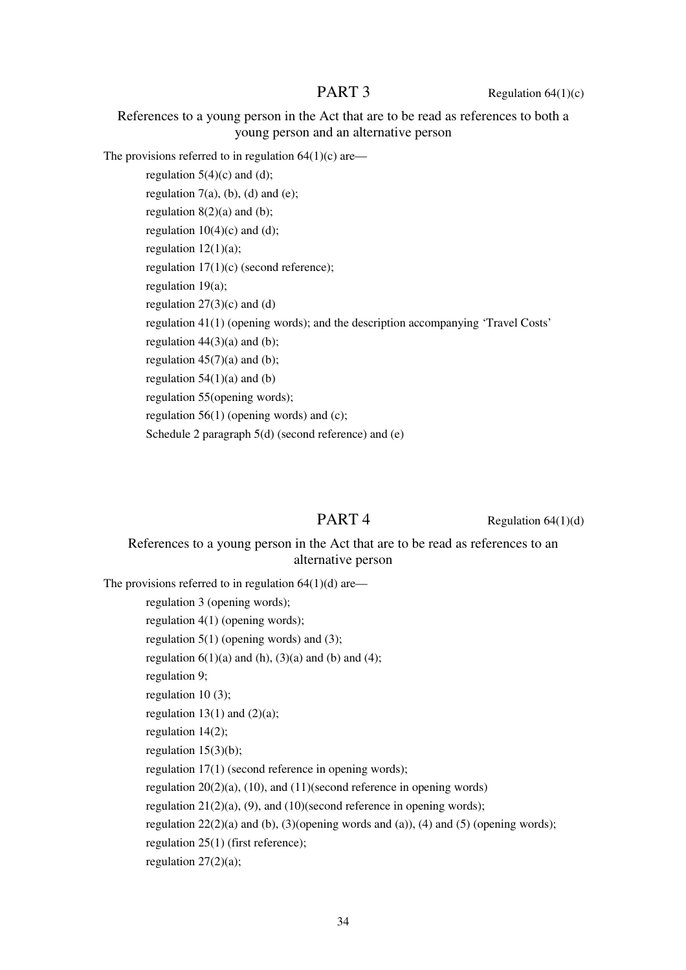References to a young person in the Act that are to be read as references to both a young person and an alternative person

The provisions referred to in regulation  $64(1)(c)$  are—

regulation  $5(4)(c)$  and (d); regulation  $7(a)$ , (b), (d) and (e); regulation  $8(2)(a)$  and  $(b)$ ; regulation  $10(4)(c)$  and (d); regulation  $12(1)(a)$ ; regulation  $17(1)(c)$  (second reference); regulation 19(a); regulation  $27(3)(c)$  and (d) regulation 41(1) (opening words); and the description accompanying 'Travel Costs' regulation  $44(3)(a)$  and (b); regulation  $45(7)(a)$  and (b); regulation  $54(1)(a)$  and  $(b)$ regulation 55(opening words); regulation 56(1) (opening words) and (c); Schedule 2 paragraph 5(d) (second reference) and (e)

**PART 4** Regulation  $64(1)(d)$ 

# References to a young person in the Act that are to be read as references to an alternative person

The provisions referred to in regulation  $64(1)(d)$  are—

regulation 3 (opening words); regulation 4(1) (opening words); regulation 5(1) (opening words) and (3); regulation  $6(1)(a)$  and  $(h)$ ,  $(3)(a)$  and  $(b)$  and  $(4)$ ; regulation 9; regulation 10 (3); regulation  $13(1)$  and  $(2)(a)$ ; regulation 14(2); regulation  $15(3)(b)$ ; regulation 17(1) (second reference in opening words); regulation  $20(2)(a)$ ,  $(10)$ , and  $(11)(second reference in opening words)$ regulation 21(2)(a), (9), and (10)(second reference in opening words); regulation  $22(2)(a)$  and (b),  $(3)(\text{opening words and } (a))$ ,  $(4)$  and  $(5)$  (opening words); regulation 25(1) (first reference); regulation  $27(2)(a)$ ;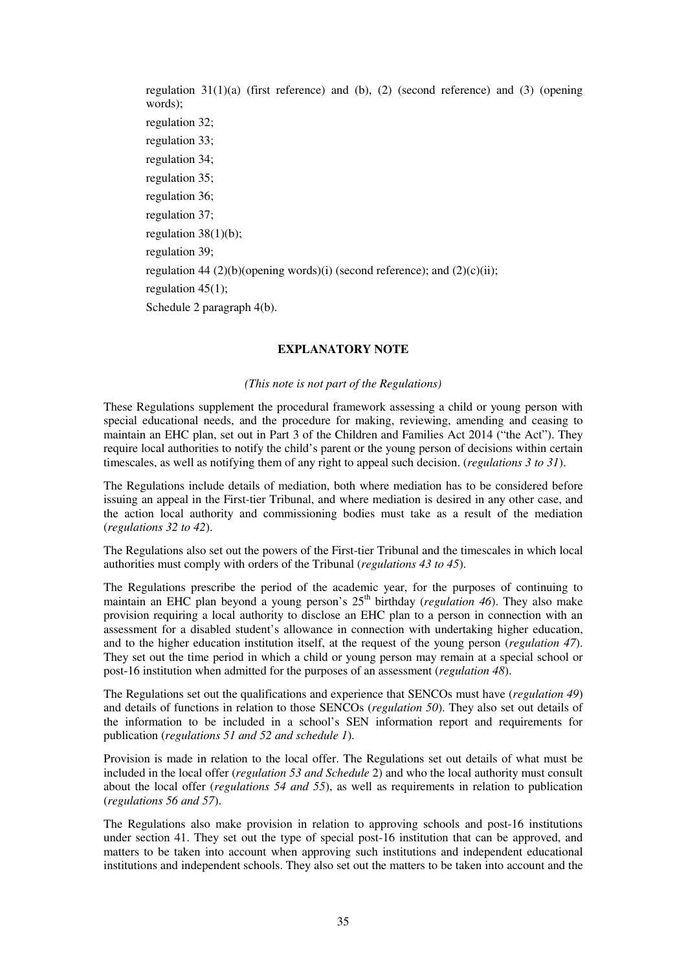regulation  $31(1)(a)$  (first reference) and (b), (2) (second reference) and (3) (opening words); regulation 32; regulation 33; regulation 34; regulation 35; regulation 36; regulation 37; regulation 38(1)(b); regulation 39; regulation 44 (2)(b)(opening words)(i) (second reference); and (2)(c)(ii); regulation 45(1); Schedule 2 paragraph 4(b).

#### **EXPLANATORY NOTE**

#### *(This note is not part of the Regulations)*

These Regulations supplement the procedural framework assessing a child or young person with special educational needs, and the procedure for making, reviewing, amending and ceasing to maintain an EHC plan, set out in Part 3 of the Children and Families Act 2014 ("the Act"). They require local authorities to notify the child's parent or the young person of decisions within certain timescales, as well as notifying them of any right to appeal such decision. (*regulations 3 to 31*).

The Regulations include details of mediation, both where mediation has to be considered before issuing an appeal in the First-tier Tribunal, and where mediation is desired in any other case, and the action local authority and commissioning bodies must take as a result of the mediation (*regulations 32 to 42*).

The Regulations also set out the powers of the First-tier Tribunal and the timescales in which local authorities must comply with orders of the Tribunal (*regulations 43 to 45*).

The Regulations prescribe the period of the academic year, for the purposes of continuing to maintain an EHC plan beyond a young person's  $25<sup>th</sup>$  birthday (*regulation 46*). They also make provision requiring a local authority to disclose an EHC plan to a person in connection with an assessment for a disabled student's allowance in connection with undertaking higher education, and to the higher education institution itself, at the request of the young person (*regulation 47*). They set out the time period in which a child or young person may remain at a special school or post-16 institution when admitted for the purposes of an assessment (*regulation 48*).

The Regulations set out the qualifications and experience that SENCOs must have (*regulation 49*) and details of functions in relation to those SENCOs (*regulation 50*). They also set out details of the information to be included in a school's SEN information report and requirements for publication (*regulations 51 and 52 and schedule 1*).

Provision is made in relation to the local offer. The Regulations set out details of what must be included in the local offer (*regulation 53 and Schedule* 2) and who the local authority must consult about the local offer (*regulations 54 and 55*), as well as requirements in relation to publication (*regulations 56 and 57*).

The Regulations also make provision in relation to approving schools and post-16 institutions under section 41. They set out the type of special post-16 institution that can be approved, and matters to be taken into account when approving such institutions and independent educational institutions and independent schools. They also set out the matters to be taken into account and the